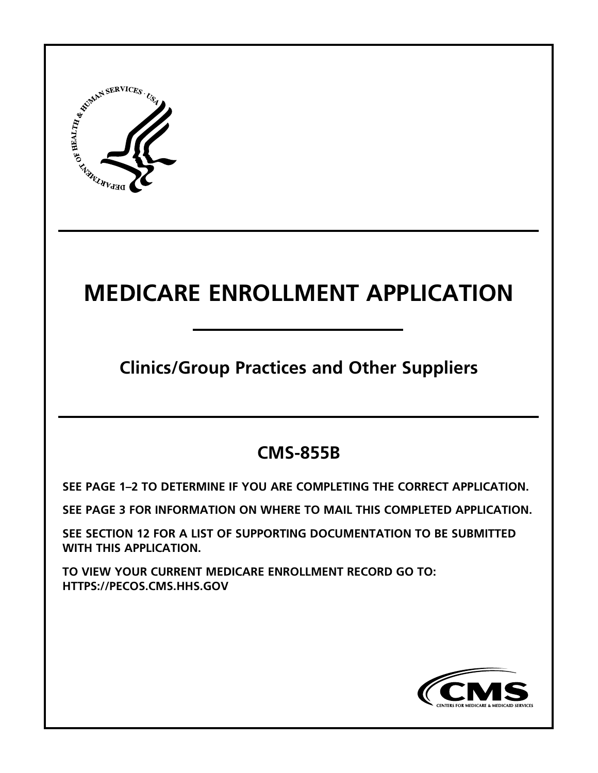

# **MEDICARE ENROLLMENT APPLICATION**

**Clinics/Group Practices and Other Suppliers**

# **CMS-855B**

**[SEE PAGE 1–2 TO DETERMINE IF YOU ARE COMPLETING THE CORRECT APPLICATION.](#page-1-0)** 

**[SEE PAGE 3 FOR INFORMATION ON WHERE TO MAIL THIS COMPLETED APPLICATION.](#page-3-0)** 

**[SEE SECTION 12 FOR A LIST OF SUPPORTING DOCUMENTATION TO BE SUBMITTED](#page-26-0)  WITH THIS APPLICATION.**

**TO VIEW YOUR CURRENT MEDICARE ENROLLMENT RECORD GO TO: <HTTPS://PECOS.CMS.HHS.GOV>**

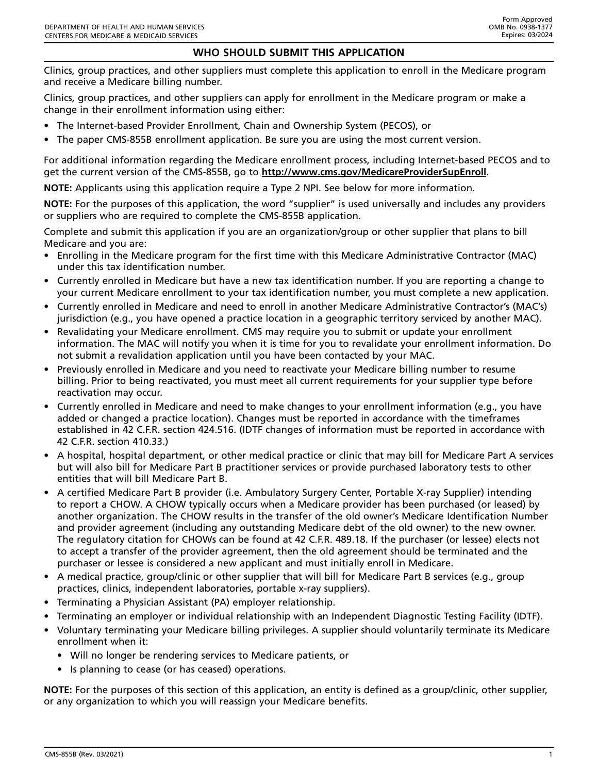### **WHO SHOULD SUBMIT THIS APPLICATION**

<span id="page-1-0"></span>Clinics, group practices, and other suppliers must complete this application to enroll in the Medicare program and receive a Medicare billing number.

Clinics, group practices, and other suppliers can apply for enrollment in the Medicare program or make a change in their enrollment information using either:

- The Internet-based Provider Enrollment, Chain and Ownership System (PECOS), or
- The paper CMS-855B enrollment application. Be sure you are using the most current version.

For additional information regarding the Medicare enrollment process, including Internet-based PECOS and to get the current version of the CMS-855B, go to **<http://www.cms.gov/MedicareProviderSupEnroll>**.

**NOTE:** Applicants using this application require a Type 2 NPI. See below for more information.

**NOTE:** For the purposes of this application, the word "supplier" is used universally and includes any providers or suppliers who are required to complete the CMS-855B application.

Complete and submit this application if you are an organization/group or other supplier that plans to bill Medicare and you are:

- Enrolling in the Medicare program for the first time with this Medicare Administrative Contractor (MAC) under this tax identification number.
- Currently enrolled in Medicare but have a new tax identification number. If you are reporting a change to your current Medicare enrollment to your tax identification number, you must complete a new application.
- Currently enrolled in Medicare and need to enroll in another Medicare Administrative Contractor's (MAC's) jurisdiction (e.g., you have opened a practice location in a geographic territory serviced by another MAC).
- Revalidating your Medicare enrollment. CMS may require you to submit or update your enrollment information. The MAC will notify you when it is time for you to revalidate your enrollment information. Do not submit a revalidation application until you have been contacted by your MAC.
- Previously enrolled in Medicare and you need to reactivate your Medicare billing number to resume billing. Prior to being reactivated, you must meet all current requirements for your supplier type before reactivation may occur.
- Currently enrolled in Medicare and need to make changes to your enrollment information (e.g., you have added or changed a practice location). Changes must be reported in accordance with the timeframes established in 42 C.F.R. section 424.516. (IDTF changes of information must be reported in accordance with 42 C.F.R. section 410.33.)
- A hospital, hospital department, or other medical practice or clinic that may bill for Medicare Part A services but will also bill for Medicare Part B practitioner services or provide purchased laboratory tests to other entities that will bill Medicare Part B.
- A certified Medicare Part B provider (i.e. Ambulatory Surgery Center, Portable X-ray Supplier) intending to report a CHOW. A CHOW typically occurs when a Medicare provider has been purchased (or leased) by another organization. The CHOW results in the transfer of the old owner's Medicare Identification Number and provider agreement (including any outstanding Medicare debt of the old owner) to the new owner. The regulatory citation for CHOWs can be found at 42 C.F.R. 489.18. If the purchaser (or lessee) elects not to accept a transfer of the provider agreement, then the old agreement should be terminated and the purchaser or lessee is considered a new applicant and must initially enroll in Medicare.
- A medical practice, group/clinic or other supplier that will bill for Medicare Part B services (e.g., group practices, clinics, independent laboratories, portable x-ray suppliers).
- Terminating a Physician Assistant (PA) employer relationship.
- Terminating an employer or individual relationship with an Independent Diagnostic Testing Facility (IDTF).
- Voluntary terminating your Medicare billing privileges. A supplier should voluntarily terminate its Medicare enrollment when it:
	- Will no longer be rendering services to Medicare patients, or
	- Is planning to cease (or has ceased) operations.

**NOTE:** For the purposes of this section of this application, an entity is defined as a group/clinic, other supplier, or any organization to which you will reassign your Medicare benefits.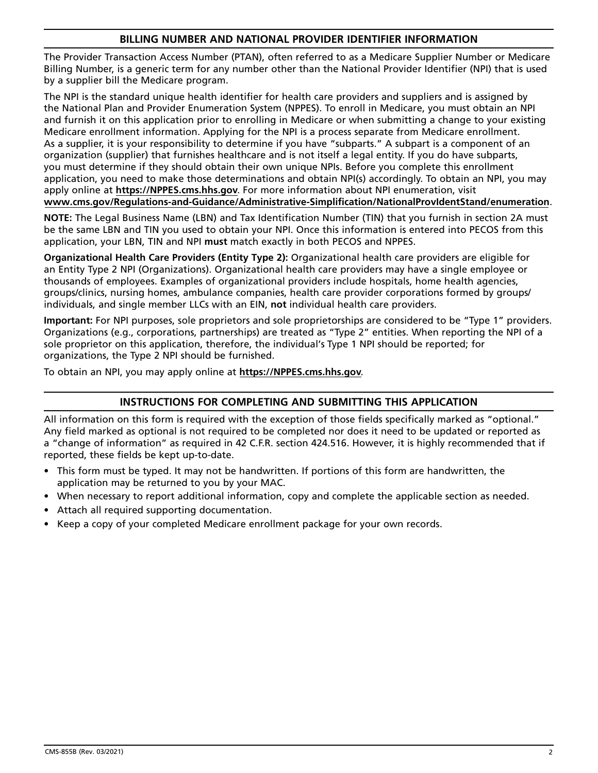### **BILLING NUMBER AND NATIONAL PROVIDER IDENTIFIER INFORMATION**

The Provider Transaction Access Number (PTAN), often referred to as a Medicare Supplier Number or Medicare Billing Number, is a generic term for any number other than the National Provider Identifier (NPI) that is used by a supplier bill the Medicare program.

The NPI is the standard unique health identifier for health care providers and suppliers and is assigned by the National Plan and Provider Enumeration System (NPPES). To enroll in Medicare, you must obtain an NPI and furnish it on this application prior to enrolling in Medicare or when submitting a change to your existing Medicare enrollment information. Applying for the NPI is a process separate from Medicare enrollment. As a supplier, it is your responsibility to determine if you have "subparts." A subpart is a component of an organization (supplier) that furnishes healthcare and is not itself a legal entity. If you do have subparts, you must determine if they should obtain their own unique NPIs. Before you complete this enrollment application, you need to make those determinations and obtain NPI(s) accordingly. To obtain an NPI, you may apply online at **[https://NPPES.cms.hhs.gov](https://nppes.cms.hhs.gov/#/)**. For more information about NPI enumeration, visit **[www.cms.gov/Regulations-and-Guidance/Administrative-Simplification/NationalProvIdentStand/enumeration](https://www.cms.gov/Regulations-and-Guidance/Administrative-Simplification/NationalProvIdentStand/enumeration)**.

**NOTE:** The Legal Business Name (LBN) and Tax Identification Number (TIN) that you furnish in section 2A must be the same LBN and TIN you used to obtain your NPI. Once this information is entered into PECOS from this application, your LBN, TIN and NPI **must** match exactly in both PECOS and NPPES.

**Organizational Health Care Providers (Entity Type 2):** Organizational health care providers are eligible for an Entity Type 2 NPI (Organizations). Organizational health care providers may have a single employee or thousands of employees. Examples of organizational providers include hospitals, home health agencies, groups/clinics, nursing homes, ambulance companies, health care provider corporations formed by groups/ individuals, and single member LLCs with an EIN, **not** individual health care providers.

**Important:** For NPI purposes, sole proprietors and sole proprietorships are considered to be "Type 1" providers. Organizations (e.g., corporations, partnerships) are treated as "Type 2" entities. When reporting the NPI of a sole proprietor on this application, therefore, the individual's Type 1 NPI should be reported; for organizations, the Type 2 NPI should be furnished.

To obtain an NPI, you may apply online at **[https://NPPES.cms.hhs.gov](https://nppes.cms.hhs.gov/#/)**.

# **INSTRUCTIONS FOR COMPLETING AND SUBMITTING THIS APPLICATION**

All information on this form is required with the exception of those fields specifically marked as "optional." Any field marked as optional is not required to be completed nor does it need to be updated or reported as a "change of information" as required in 42 C.F.R. section 424.516. However, it is highly recommended that if reported, these fields be kept up-to-date.

- This form must be typed. It may not be handwritten. If portions of this form are handwritten, the application may be returned to you by your MAC.
- When necessary to report additional information, copy and complete the applicable section as needed.
- Attach all required supporting documentation.
- Keep a copy of your completed Medicare enrollment package for your own records.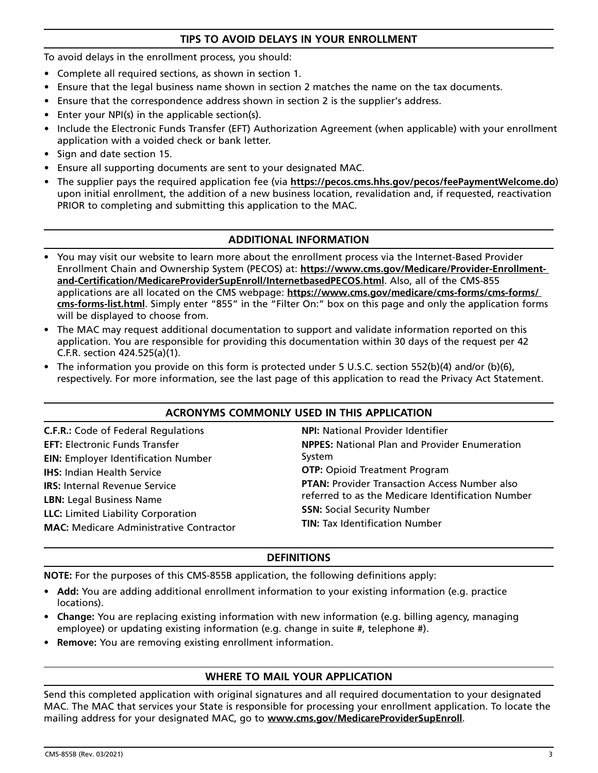### **TIPS TO AVOID DELAYS IN YOUR ENROLLMENT**

<span id="page-3-0"></span>To avoid delays in the enrollment process, you should:

- Complete all required sections, as shown in section 1.
- Ensure that the legal business name shown in section 2 matches the name on the tax documents.
- Ensure that the correspondence address shown in section 2 is the supplier's address.
- Enter your NPI(s) in the applicable section(s).
- Include the Electronic Funds Transfer (EFT) Authorization Agreement (when applicable) with your enrollment application with a voided check or bank letter.
- Sign and date section 15.
- Ensure all supporting documents are sent to your designated MAC.
- The supplier pays the required application fee (via **https://pecos.cms.hhs.gov/pecos/feePaymentWelcome.do**) upon initial enrollment, the addition of a new business location, revalidation and, if requested, reactivation PRIOR to completing and submitting this application to the MAC.

### **ADDITIONAL INFORMATION**

- You may visit our website to learn more about the enrollment process via the Internet-Based Provider Enrollment Chain and Ownership System (PECOS) at: **[https://www.cms.gov/Medicare/Provider-Enrollment](https://www.cms.gov/Medicare/Provider-Enrollment-and-Certification/MedicareProviderSupEnroll/InternetbasedPECOS)[and-Certification/MedicareProviderSupEnroll/InternetbasedPECOS.html](https://www.cms.gov/Medicare/Provider-Enrollment-and-Certification/MedicareProviderSupEnroll/InternetbasedPECOS)**. Also, all of the CMS-855 applications are all located on the CMS webpage: **[https://www.cms.gov/medicare/cms-forms/cms-forms/](https://www.cms.gov/medicare/cms-forms/cms-forms/cms-forms-list) [cms-forms-list.html](https://www.cms.gov/medicare/cms-forms/cms-forms/cms-forms-list)**. Simply enter "855" in the "Filter On:" box on this page and only the application forms will be displayed to choose from.
- The MAC may request additional documentation to support and validate information reported on this application. You are responsible for providing this documentation within 30 days of the request per 42 C.F.R. section 424.525(a)(1).
- The information you provide on this form is protected under 5 U.S.C. section 552(b)(4) and/or (b)(6), respectively. For more information, see the last page of this application to read the Privacy Act Statement.

#### **ACRONYMS COMMONLY USED IN THIS APPLICATION**

**C.F.R.:** Code of Federal Regulations **EFT:** Electronic Funds Transfer **EIN:** Employer Identification Number **IHS:** Indian Health Service **IRS:** Internal Revenue Service **LBN:** Legal Business Name **LLC:** Limited Liability Corporation **MAC:** Medicare Administrative Contractor

**NPI:** National Provider Identifier **NPPES:** National Plan and Provider Enumeration System **OTP: Opioid Treatment Program PTAN:** Provider Transaction Access Number also referred to as the Medicare Identification Number **SSN:** Social Security Number **TIN:** Tax Identification Number

### **DEFINITIONS**

**NOTE:** For the purposes of this CMS-855B application, the following definitions apply:

- **Add:** You are adding additional enrollment information to your existing information (e.g. practice locations).
- **Change:** You are replacing existing information with new information (e.g. billing agency, managing employee) or updating existing information (e.g. change in suite #, telephone #).
- **Remove:** You are removing existing enrollment information.

# **WHERE TO MAIL YOUR APPLICATION**

Send this completed application with original signatures and all required documentation to your designated MAC. The MAC that services your State is responsible for processing your enrollment application. To locate the mailing address for your designated MAC, go to **[www.cms.gov/MedicareProviderSupEnroll](http://www.cms.gov/MedicareProviderSupEnroll)**.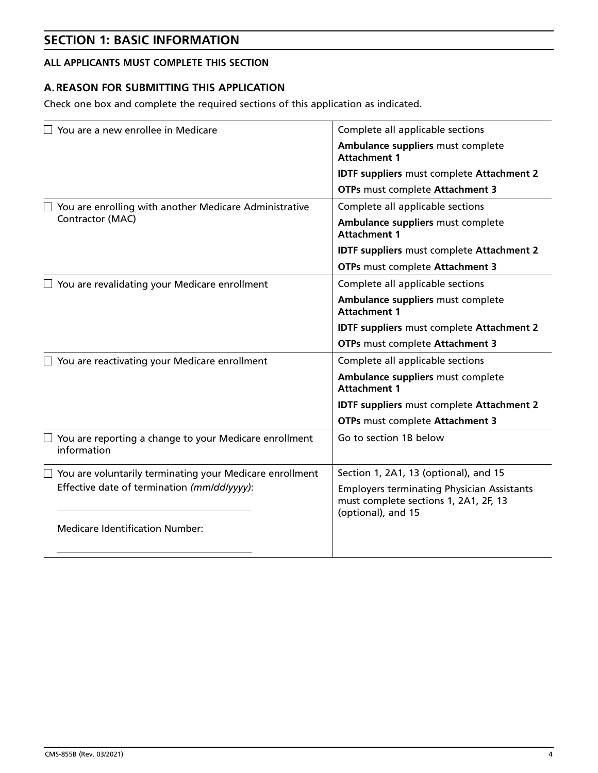# **SECTION 1: BASIC INFORMATION**

# **ALL APPLICANTS MUST COMPLETE THIS SECTION**

# **A. REASON FOR SUBMITTING THIS APPLICATION**

Check one box and complete the required sections of this application as indicated.

| You are a new enrollee in Medicare                                    | Complete all applicable sections                                                           |  |
|-----------------------------------------------------------------------|--------------------------------------------------------------------------------------------|--|
|                                                                       | Ambulance suppliers must complete<br><b>Attachment 1</b>                                   |  |
|                                                                       | <b>IDTF suppliers must complete Attachment 2</b>                                           |  |
|                                                                       | OTPs must complete Attachment 3                                                            |  |
| You are enrolling with another Medicare Administrative                | Complete all applicable sections                                                           |  |
| Contractor (MAC)                                                      | Ambulance suppliers must complete<br><b>Attachment 1</b>                                   |  |
|                                                                       | <b>IDTF suppliers must complete Attachment 2</b>                                           |  |
|                                                                       | OTPs must complete Attachment 3                                                            |  |
| $\Box$ You are revalidating your Medicare enrollment                  | Complete all applicable sections                                                           |  |
|                                                                       | Ambulance suppliers must complete<br><b>Attachment 1</b>                                   |  |
|                                                                       | <b>IDTF suppliers must complete Attachment 2</b>                                           |  |
|                                                                       | OTPs must complete Attachment 3                                                            |  |
| $\Box$ You are reactivating your Medicare enrollment                  | Complete all applicable sections                                                           |  |
|                                                                       | Ambulance suppliers must complete<br><b>Attachment 1</b>                                   |  |
|                                                                       | <b>IDTF suppliers must complete Attachment 2</b>                                           |  |
|                                                                       | OTPs must complete Attachment 3                                                            |  |
| You are reporting a change to your Medicare enrollment<br>information | Go to section 1B below                                                                     |  |
| You are voluntarily terminating your Medicare enrollment              | Section 1, 2A1, 13 (optional), and 15                                                      |  |
| Effective date of termination (mm/dd/yyyy):                           | <b>Employers terminating Physician Assistants</b><br>must complete sections 1, 2A1, 2F, 13 |  |
| <b>Medicare Identification Number:</b>                                | (optional), and 15                                                                         |  |
|                                                                       |                                                                                            |  |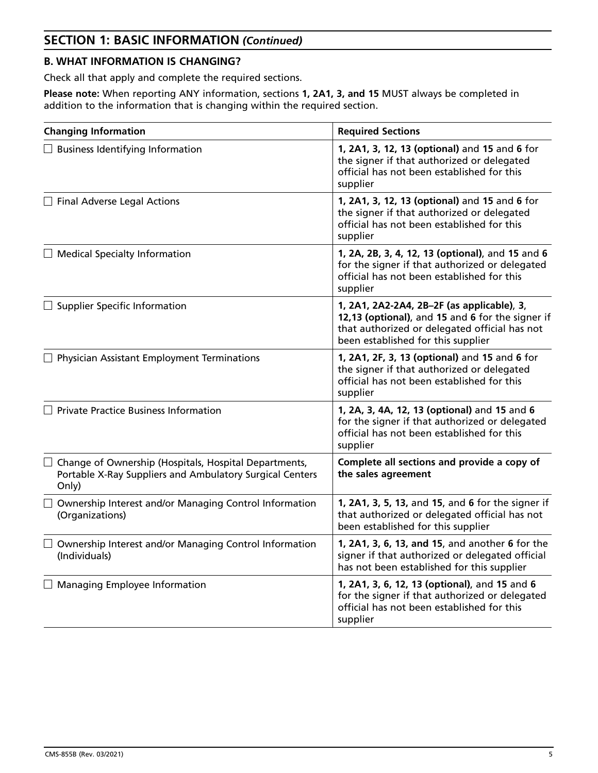# **SECTION 1: BASIC INFORMATION** *(Continued)*

# **B. WHAT INFORMATION IS CHANGING?**

Check all that apply and complete the required sections.

**Please note:** When reporting ANY information, sections **1, 2A1, 3, and 15** MUST always be completed in addition to the information that is changing within the required section.

| <b>Changing Information</b>                                                                                                | <b>Required Sections</b>                                                                                                                                                              |
|----------------------------------------------------------------------------------------------------------------------------|---------------------------------------------------------------------------------------------------------------------------------------------------------------------------------------|
| $\Box$ Business Identifying Information                                                                                    | 1, 2A1, 3, 12, 13 (optional) and 15 and 6 for<br>the signer if that authorized or delegated<br>official has not been established for this<br>supplier                                 |
| $\Box$ Final Adverse Legal Actions                                                                                         | 1, 2A1, 3, 12, 13 (optional) and 15 and 6 for<br>the signer if that authorized or delegated<br>official has not been established for this<br>supplier                                 |
| $\Box$ Medical Specialty Information                                                                                       | 1, 2A, 2B, 3, 4, 12, 13 (optional), and 15 and 6<br>for the signer if that authorized or delegated<br>official has not been established for this<br>supplier                          |
| <b>Supplier Specific Information</b>                                                                                       | 1, 2A1, 2A2-2A4, 2B-2F (as applicable), 3,<br>12,13 (optional), and 15 and 6 for the signer if<br>that authorized or delegated official has not<br>been established for this supplier |
| $\Box$ Physician Assistant Employment Terminations                                                                         | 1, 2A1, 2F, 3, 13 (optional) and 15 and 6 for<br>the signer if that authorized or delegated<br>official has not been established for this<br>supplier                                 |
| <b>Private Practice Business Information</b>                                                                               | 1, 2A, 3, 4A, 12, 13 (optional) and 15 and 6<br>for the signer if that authorized or delegated<br>official has not been established for this<br>supplier                              |
| Change of Ownership (Hospitals, Hospital Departments,<br>Portable X-Ray Suppliers and Ambulatory Surgical Centers<br>Only) | Complete all sections and provide a copy of<br>the sales agreement                                                                                                                    |
| Ownership Interest and/or Managing Control Information<br>(Organizations)                                                  | 1, 2A1, 3, 5, 13, and 15, and 6 for the signer if<br>that authorized or delegated official has not<br>been established for this supplier                                              |
| Ownership Interest and/or Managing Control Information<br>(Individuals)                                                    | 1, 2A1, 3, 6, 13, and 15, and another 6 for the<br>signer if that authorized or delegated official<br>has not been established for this supplier                                      |
| Managing Employee Information                                                                                              | 1, 2A1, 3, 6, 12, 13 (optional), and 15 and 6<br>for the signer if that authorized or delegated<br>official has not been established for this<br>supplier                             |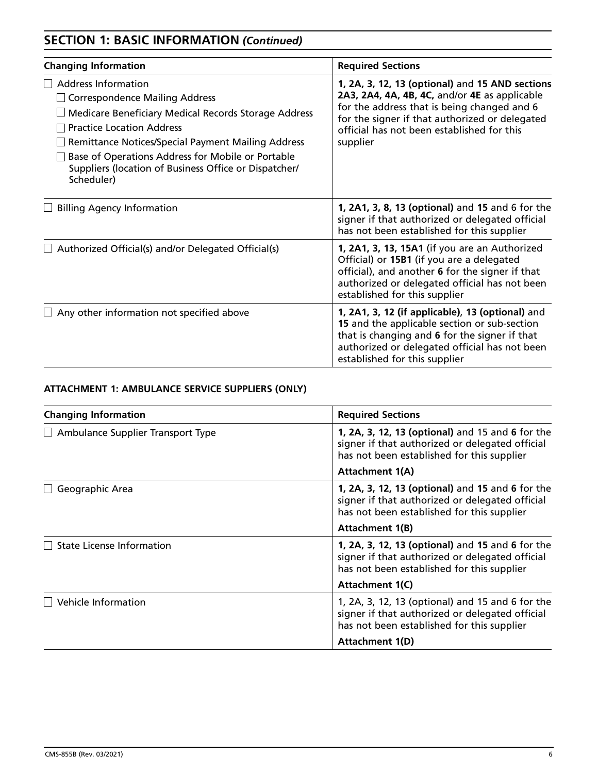# **SECTION 1: BASIC INFORMATION** *(Continued)*

| <b>Changing Information</b>                                                                                                                                                                                                                                                                                                                | <b>Required Sections</b>                                                                                                                                                                                                                                    |
|--------------------------------------------------------------------------------------------------------------------------------------------------------------------------------------------------------------------------------------------------------------------------------------------------------------------------------------------|-------------------------------------------------------------------------------------------------------------------------------------------------------------------------------------------------------------------------------------------------------------|
| Address Information<br><b>Correspondence Mailing Address</b><br>Medicare Beneficiary Medical Records Storage Address<br><b>Practice Location Address</b><br>Remittance Notices/Special Payment Mailing Address<br>Base of Operations Address for Mobile or Portable<br>Suppliers (location of Business Office or Dispatcher/<br>Scheduler) | 1, 2A, 3, 12, 13 (optional) and 15 AND sections<br>2A3, 2A4, 4A, 4B, 4C, and/or 4E as applicable<br>for the address that is being changed and 6<br>for the signer if that authorized or delegated<br>official has not been established for this<br>supplier |
| <b>Billing Agency Information</b>                                                                                                                                                                                                                                                                                                          | 1, 2A1, 3, 8, 13 (optional) and 15 and 6 for the<br>signer if that authorized or delegated official<br>has not been established for this supplier                                                                                                           |
| Authorized Official(s) and/or Delegated Official(s)                                                                                                                                                                                                                                                                                        | 1, 2A1, 3, 13, 15A1 (if you are an Authorized<br>Official) or 15B1 (if you are a delegated<br>official), and another 6 for the signer if that<br>authorized or delegated official has not been<br>established for this supplier                             |
| $\Box$ Any other information not specified above                                                                                                                                                                                                                                                                                           | 1, 2A1, 3, 12 (if applicable), 13 (optional) and<br>15 and the applicable section or sub-section<br>that is changing and 6 for the signer if that<br>authorized or delegated official has not been<br>established for this supplier                         |

# **ATTACHMENT 1: AMBULANCE SERVICE SUPPLIERS (ONLY)**

| <b>Changing Information</b>              | <b>Required Sections</b>                                                                                                                          |
|------------------------------------------|---------------------------------------------------------------------------------------------------------------------------------------------------|
| $\Box$ Ambulance Supplier Transport Type | 1, 2A, 3, 12, 13 (optional) and 15 and 6 for the<br>signer if that authorized or delegated official<br>has not been established for this supplier |
|                                          | <b>Attachment 1(A)</b>                                                                                                                            |
| Geographic Area                          | 1, 2A, 3, 12, 13 (optional) and 15 and 6 for the<br>signer if that authorized or delegated official<br>has not been established for this supplier |
|                                          | <b>Attachment 1(B)</b>                                                                                                                            |
| $\Box$ State License Information         | 1, 2A, 3, 12, 13 (optional) and 15 and 6 for the<br>signer if that authorized or delegated official<br>has not been established for this supplier |
|                                          | Attachment 1(C)                                                                                                                                   |
| Vehicle Information                      | 1, 2A, 3, 12, 13 (optional) and 15 and 6 for the<br>signer if that authorized or delegated official<br>has not been established for this supplier |
|                                          | Attachment 1(D)                                                                                                                                   |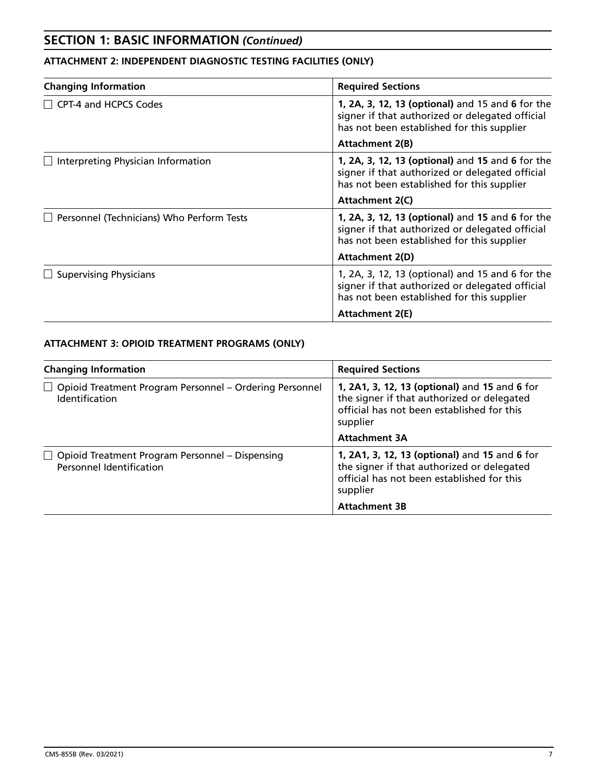# **SECTION 1: BASIC INFORMATION** *(Continued)*

# **ATTACHMENT 2: INDEPENDENT DIAGNOSTIC TESTING FACILITIES (ONLY)**

| <b>Changing Information</b>               | <b>Required Sections</b>                                                                                                                          |
|-------------------------------------------|---------------------------------------------------------------------------------------------------------------------------------------------------|
| CPT-4 and HCPCS Codes                     | 1, 2A, 3, 12, 13 (optional) and 15 and 6 for the<br>signer if that authorized or delegated official<br>has not been established for this supplier |
|                                           | <b>Attachment 2(B)</b>                                                                                                                            |
| Interpreting Physician Information        | 1, 2A, 3, 12, 13 (optional) and 15 and 6 for the<br>signer if that authorized or delegated official<br>has not been established for this supplier |
|                                           | Attachment 2(C)                                                                                                                                   |
| Personnel (Technicians) Who Perform Tests | 1, 2A, 3, 12, 13 (optional) and 15 and 6 for the<br>signer if that authorized or delegated official<br>has not been established for this supplier |
|                                           | <b>Attachment 2(D)</b>                                                                                                                            |
| <b>Supervising Physicians</b>             | 1, 2A, 3, 12, 13 (optional) and 15 and 6 for the<br>signer if that authorized or delegated official<br>has not been established for this supplier |
|                                           | <b>Attachment 2(E)</b>                                                                                                                            |

## **ATTACHMENT 3: OPIOID TREATMENT PROGRAMS (ONLY)**

| <b>Changing Information</b>                                                        | <b>Required Sections</b>                                                                                                                              |  |
|------------------------------------------------------------------------------------|-------------------------------------------------------------------------------------------------------------------------------------------------------|--|
| □ Opioid Treatment Program Personnel – Ordering Personnel<br><b>Identification</b> | 1, 2A1, 3, 12, 13 (optional) and 15 and 6 for<br>the signer if that authorized or delegated<br>official has not been established for this<br>supplier |  |
|                                                                                    | <b>Attachment 3A</b>                                                                                                                                  |  |
| $\Box$ Opioid Treatment Program Personnel – Dispensing<br>Personnel Identification | 1, 2A1, 3, 12, 13 (optional) and 15 and 6 for<br>the signer if that authorized or delegated<br>official has not been established for this<br>supplier |  |
|                                                                                    | <b>Attachment 3B</b>                                                                                                                                  |  |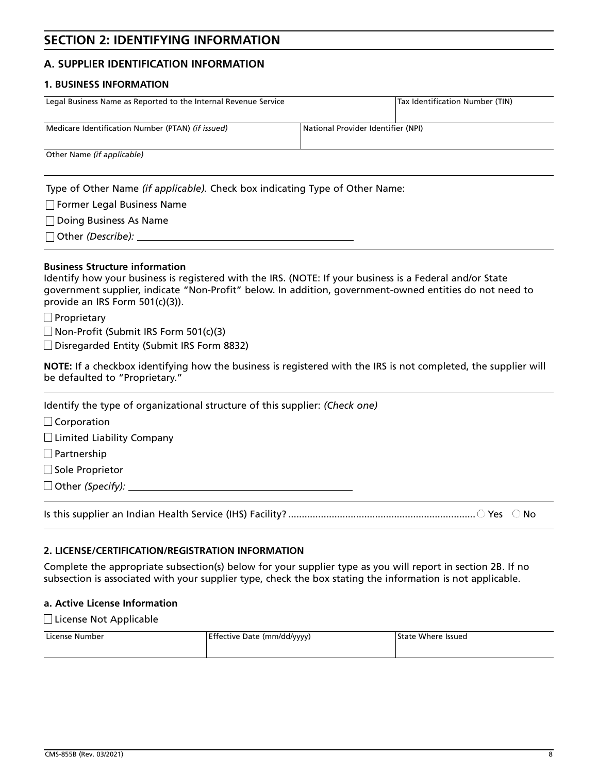# **SECTION 2: IDENTIFYING INFORMATION**

### **A. SUPPLIER IDENTIFICATION INFORMATION**

#### **1. BUSINESS INFORMATION**

| Legal Business Name as Reported to the Internal Revenue Service                         |  | Tax Identification Number (TIN) |
|-----------------------------------------------------------------------------------------|--|---------------------------------|
|                                                                                         |  |                                 |
| Medicare Identification Number (PTAN) (if issued)<br>National Provider Identifier (NPI) |  |                                 |
| Other Name (if applicable)                                                              |  |                                 |

Type of Other Name *(if applicable).* Check box indicating Type of Other Name:

Former Legal Business Name

Doing Business As Name

Other *(Describe):* 

#### **Business Structure information**

Identify how your business is registered with the IRS. (NOTE: If your business is a Federal and/or State government supplier, indicate "Non-Profit" below. In addition, government-owned entities do not need to provide an IRS Form 501(c)(3)).

 $\Box$  Proprietary

 $\Box$  Non-Profit (Submit IRS Form 501(c)(3)

□ Disregarded Entity (Submit IRS Form 8832)

**NOTE:** If a checkbox identifying how the business is registered with the IRS is not completed, the supplier will be defaulted to "Proprietary."

Identify the type of organizational structure of this supplier: *(Check one)*

 $\Box$  Corporation

 $\Box$  Limited Liability Company

**Partnership** 

 $\Box$  Sole Proprietor

Other *(Specify):* 

Is this supplier an Indian Health Service (IHS) Facility? ..................................................................... Yes No

#### **2. LICENSE/CERTIFICATION/REGISTRATION INFORMATION**

Complete the appropriate subsection(s) below for your supplier type as you will report in section 2B. If no subsection is associated with your supplier type, check the box stating the information is not applicable.

#### **a. Active License Information**

□License Not Applicable

| License Number | Effective Date (mm/dd/yyyy) | <b>State Where Issued</b> |  |
|----------------|-----------------------------|---------------------------|--|
|                |                             |                           |  |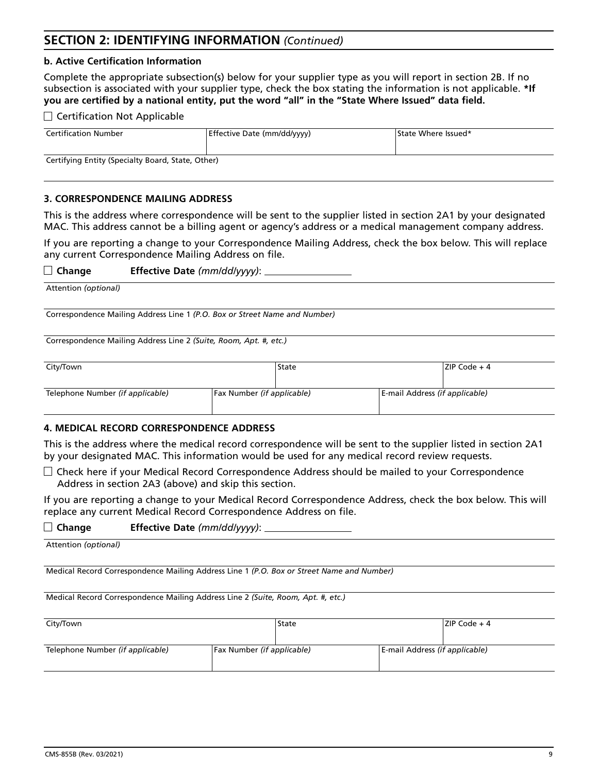# **SECTION 2: IDENTIFYING INFORMATION** *(Continued)*

#### **b. Active Certification Information**

Complete the appropriate subsection(s) below for your supplier type as you will report in section 2B. If no subsection is associated with your supplier type, check the box stating the information is not applicable. **\*If you are certified by a national entity, put the word "all" in the "State Where Issued" data field.**

#### $\Box$  Certification Not Applicable

| <b>Certification Number</b>                       | Effective Date (mm/dd/yyyy) | State Where Issued* |  |  |
|---------------------------------------------------|-----------------------------|---------------------|--|--|
| Certifying Entity (Specialty Board, State, Other) |                             |                     |  |  |

**3. CORRESPONDENCE MAILING ADDRESS**

This is the address where correspondence will be sent to the supplier listed in section 2A1 by your designated MAC. This address cannot be a billing agent or agency's address or a medical management company address.

If you are reporting a change to your Correspondence Mailing Address, check the box below. This will replace any current Correspondence Mailing Address on file.

**Change Effective Date** *(mm/dd/yyyy)*:

Attention *(optional)*

Correspondence Mailing Address Line 1 *(P.O. Box or Street Name and Number)*

Correspondence Mailing Address Line 2 *(Suite, Room, Apt. #, etc.)*

| City/Town                        |                            | State |                                | ZIP Code + 4 |
|----------------------------------|----------------------------|-------|--------------------------------|--------------|
| Telephone Number (if applicable) | Fax Number (if applicable) |       | E-mail Address (if applicable) |              |

#### **4. MEDICAL RECORD CORRESPONDENCE ADDRESS**

This is the address where the medical record correspondence will be sent to the supplier listed in section 2A1 by your designated MAC. This information would be used for any medical record review requests.

 $\Box$  Check here if your Medical Record Correspondence Address should be mailed to your Correspondence Address in section 2A3 (above) and skip this section.

If you are reporting a change to your Medical Record Correspondence Address, check the box below. This will replace any current Medical Record Correspondence Address on file.

#### **Change Effective Date** *(mm/dd/yyyy)*:

Attention *(optional)*

Medical Record Correspondence Mailing Address Line 1 *(P.O. Box or Street Name and Number)*

Medical Record Correspondence Mailing Address Line 2 *(Suite, Room, Apt. #, etc.)*

| City/Town                        |                            | State |                                | $ ZIP Code + 4 $ |
|----------------------------------|----------------------------|-------|--------------------------------|------------------|
| Telephone Number (if applicable) | Fax Number (if applicable) |       | E-mail Address (if applicable) |                  |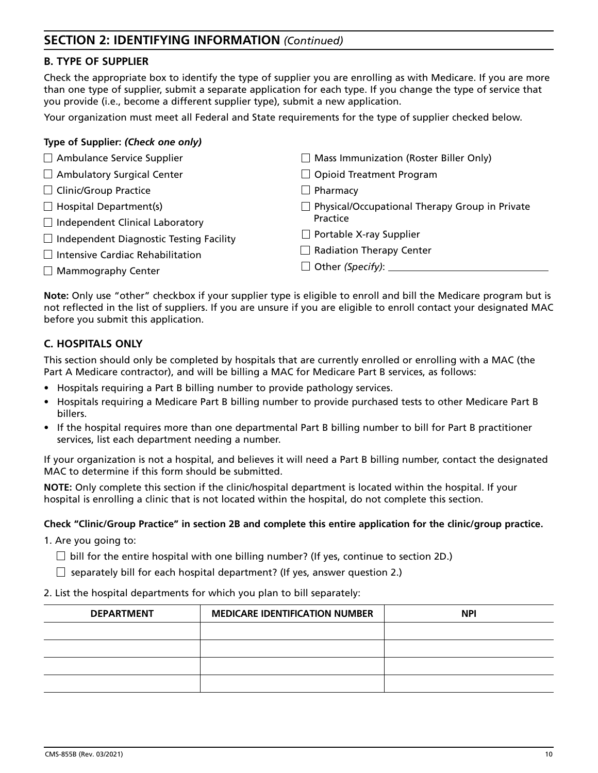# **SECTION 2: IDENTIFYING INFORMATION** *(Continued)*

### **B. TYPE OF SUPPLIER**

Check the appropriate box to identify the type of supplier you are enrolling as with Medicare. If you are more than one type of supplier, submit a separate application for each type. If you change the type of service that you provide (i.e., become a different supplier type), submit a new application.

Your organization must meet all Federal and State requirements for the type of supplier checked below.

| Type of Supplier: (Check one only)             |                                                       |
|------------------------------------------------|-------------------------------------------------------|
| Ambulance Service Supplier                     | $\Box$ Mass Immunization (Roster Biller Only)         |
| Ambulatory Surgical Center                     | $\Box$ Opioid Treatment Program                       |
| □ Clinic/Group Practice                        | $\Box$ Pharmacy                                       |
| $\Box$ Hospital Department(s)                  | $\Box$ Physical/Occupational Therapy Group in Private |
| $\Box$ Independent Clinical Laboratory         | Practice                                              |
| $\Box$ Independent Diagnostic Testing Facility | $\Box$ Portable X-ray Supplier                        |
| $\Box$ Intensive Cardiac Rehabilitation        | $\Box$ Radiation Therapy Center                       |
| $\Box$ Mammography Center                      | $\Box$ Other (Specify): $\Box$                        |

**Note:** Only use "other" checkbox if your supplier type is eligible to enroll and bill the Medicare program but is not reflected in the list of suppliers. If you are unsure if you are eligible to enroll contact your designated MAC before you submit this application.

## **C. HOSPITALS ONLY**

This section should only be completed by hospitals that are currently enrolled or enrolling with a MAC (the Part A Medicare contractor), and will be billing a MAC for Medicare Part B services, as follows:

- Hospitals requiring a Part B billing number to provide pathology services.
- Hospitals requiring a Medicare Part B billing number to provide purchased tests to other Medicare Part B billers.
- If the hospital requires more than one departmental Part B billing number to bill for Part B practitioner services, list each department needing a number.

If your organization is not a hospital, and believes it will need a Part B billing number, contact the designated MAC to determine if this form should be submitted.

**NOTE:** Only complete this section if the clinic/hospital department is located within the hospital. If your hospital is enrolling a clinic that is not located within the hospital, do not complete this section.

#### **Check "Clinic/Group Practice" in section 2B and complete this entire application for the clinic/group practice.**

1. Are you going to:

- $\Box$  bill for the entire hospital with one billing number? (If yes, continue to section 2D.)
- $\Box$  separately bill for each hospital department? (If yes, answer question 2.)
- 2. List the hospital departments for which you plan to bill separately:

| <b>DEPARTMENT</b> | <b>MEDICARE IDENTIFICATION NUMBER</b> | <b>NPI</b> |
|-------------------|---------------------------------------|------------|
|                   |                                       |            |
|                   |                                       |            |
|                   |                                       |            |
|                   |                                       |            |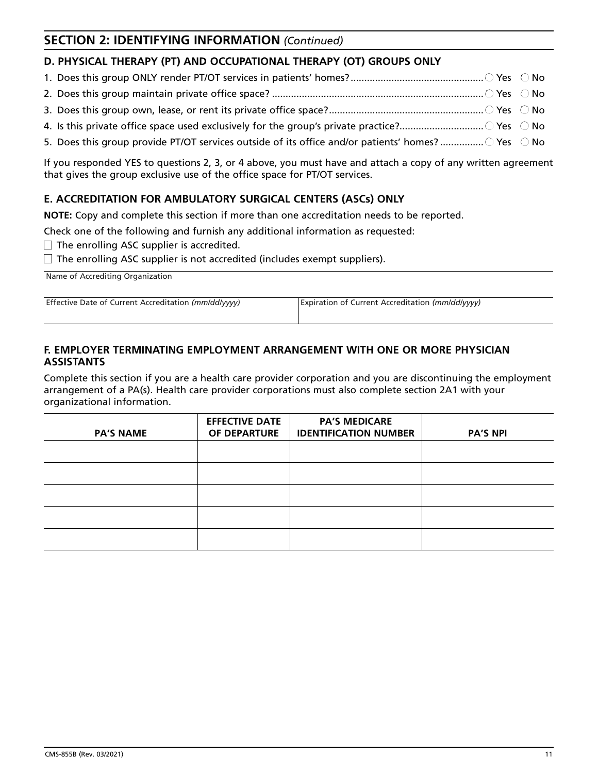# **SECTION 2: IDENTIFYING INFORMATION** *(Continued)*

# **D. PHYSICAL THERAPY (PT) AND OCCUPATIONAL THERAPY (OT) GROUPS ONLY**

- 1. Does this group ONLY render PT/OT services in patients' homes? ................................................. Yes No
- 2. Does this group maintain private office space? .............................................................................. Yes No
- 3. Does this group own, lease, or rent its private office space? ......................................................... Yes No
- 4. Is this private office space used exclusively for the group's private practice?............................... Yes No
- 5. Does this group provide PT/OT services outside of its office and/or patients' homes? ..................  $\circ$  Yes  $\circ$  No

If you responded YES to questions 2, 3, or 4 above, you must have and attach a copy of any written agreement that gives the group exclusive use of the office space for PT/OT services.

# **E. ACCREDITATION FOR AMBULATORY SURGICAL CENTERS (ASCs) ONLY**

**NOTE:** Copy and complete this section if more than one accreditation needs to be reported.

Check one of the following and furnish any additional information as requested:

 $\Box$  The enrolling ASC supplier is accredited.

 $\Box$  The enrolling ASC supplier is not accredited (includes exempt suppliers).

Name of Accrediting Organization

Effective Date of Current Accreditation *(mm/dd/yyyy)* Expiration of Current Accreditation *(mm/dd/yyyy)*

### **F. EMPLOYER TERMINATING EMPLOYMENT ARRANGEMENT WITH ONE OR MORE PHYSICIAN ASSISTANTS**

Complete this section if you are a health care provider corporation and you are discontinuing the employment arrangement of a PA(s). Health care provider corporations must also complete section 2A1 with your organizational information.

| <b>PA'S NAME</b> | <b>EFFECTIVE DATE</b><br>OF DEPARTURE | <b>PA'S MEDICARE</b><br><b>IDENTIFICATION NUMBER</b> | <b>PA'S NPI</b> |
|------------------|---------------------------------------|------------------------------------------------------|-----------------|
|                  |                                       |                                                      |                 |
|                  |                                       |                                                      |                 |
|                  |                                       |                                                      |                 |
|                  |                                       |                                                      |                 |
|                  |                                       |                                                      |                 |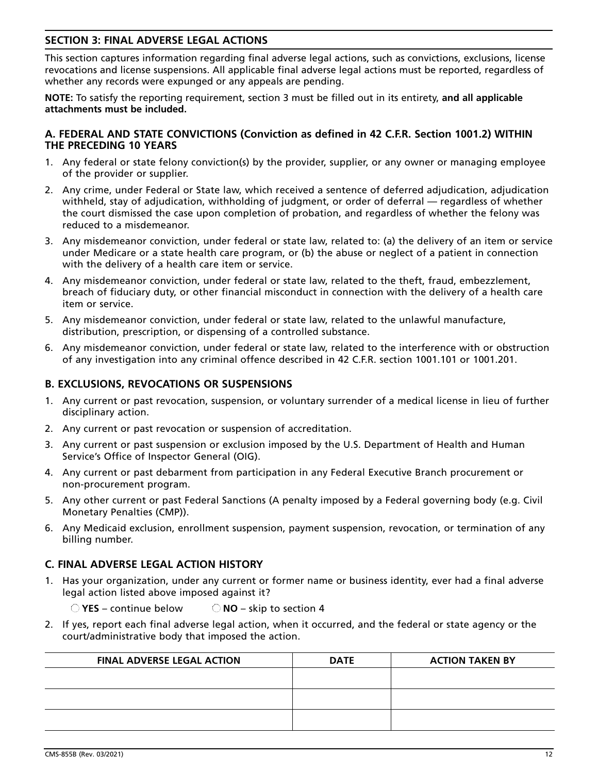### **SECTION 3: FINAL ADVERSE LEGAL ACTIONS**

This section captures information regarding final adverse legal actions, such as convictions, exclusions, license revocations and license suspensions. All applicable final adverse legal actions must be reported, regardless of whether any records were expunged or any appeals are pending.

**NOTE:** To satisfy the reporting requirement, section 3 must be filled out in its entirety, **and all applicable attachments must be included.**

### **A. FEDERAL AND STATE CONVICTIONS (Conviction as defined in 42 C.F.R. Section 1001.2) WITHIN THE PRECEDING 10 YEARS**

- 1. Any federal or state felony conviction(s) by the provider, supplier, or any owner or managing employee of the provider or supplier.
- 2. Any crime, under Federal or State law, which received a sentence of deferred adjudication, adjudication withheld, stay of adjudication, withholding of judgment, or order of deferral — regardless of whether the court dismissed the case upon completion of probation, and regardless of whether the felony was reduced to a misdemeanor.
- 3. Any misdemeanor conviction, under federal or state law, related to: (a) the delivery of an item or service under Medicare or a state health care program, or (b) the abuse or neglect of a patient in connection with the delivery of a health care item or service.
- 4. Any misdemeanor conviction, under federal or state law, related to the theft, fraud, embezzlement, breach of fiduciary duty, or other financial misconduct in connection with the delivery of a health care item or service.
- 5. Any misdemeanor conviction, under federal or state law, related to the unlawful manufacture, distribution, prescription, or dispensing of a controlled substance.
- 6. Any misdemeanor conviction, under federal or state law, related to the interference with or obstruction of any investigation into any criminal offence described in 42 C.F.R. section 1001.101 or 1001.201.

### **B. EXCLUSIONS, REVOCATIONS OR SUSPENSIONS**

- 1. Any current or past revocation, suspension, or voluntary surrender of a medical license in lieu of further disciplinary action.
- 2. Any current or past revocation or suspension of accreditation.
- 3. Any current or past suspension or exclusion imposed by the U.S. Department of Health and Human Service's Office of Inspector General (OIG).
- 4. Any current or past debarment from participation in any Federal Executive Branch procurement or non-procurement program.
- 5. Any other current or past Federal Sanctions (A penalty imposed by a Federal governing body (e.g. Civil Monetary Penalties (CMP)).
- 6. Any Medicaid exclusion, enrollment suspension, payment suspension, revocation, or termination of any billing number.

### **C. FINAL ADVERSE LEGAL ACTION HISTORY**

1. Has your organization, under any current or former name or business identity, ever had a final adverse legal action listed above imposed against it?

**YES** – continue below **NO** – skip to section 4

2. If yes, report each final adverse legal action, when it occurred, and the federal or state agency or the court/administrative body that imposed the action.

| <b>FINAL ADVERSE LEGAL ACTION</b> | <b>DATE</b> | <b>ACTION TAKEN BY</b> |
|-----------------------------------|-------------|------------------------|
|                                   |             |                        |
|                                   |             |                        |
|                                   |             |                        |
|                                   |             |                        |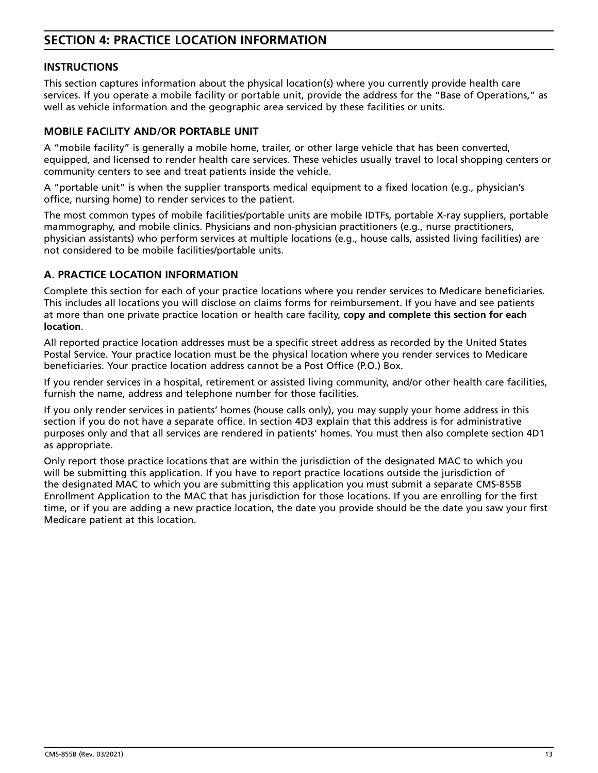# **SECTION 4: PRACTICE LOCATION INFORMATION**

### **INSTRUCTIONS**

This section captures information about the physical location(s) where you currently provide health care services. If you operate a mobile facility or portable unit, provide the address for the "Base of Operations," as well as vehicle information and the geographic area serviced by these facilities or units.

## **MOBILE FACILITY AND/OR PORTABLE UNIT**

A "mobile facility" is generally a mobile home, trailer, or other large vehicle that has been converted, equipped, and licensed to render health care services. These vehicles usually travel to local shopping centers or community centers to see and treat patients inside the vehicle.

A "portable unit" is when the supplier transports medical equipment to a fixed location (e.g., physician's office, nursing home) to render services to the patient.

The most common types of mobile facilities/portable units are mobile IDTFs, portable X-ray suppliers, portable mammography, and mobile clinics. Physicians and non-physician practitioners (e.g., nurse practitioners, physician assistants) who perform services at multiple locations (e.g., house calls, assisted living facilities) are not considered to be mobile facilities/portable units.

### **A. PRACTICE LOCATION INFORMATION**

Complete this section for each of your practice locations where you render services to Medicare beneficiaries. This includes all locations you will disclose on claims forms for reimbursement. If you have and see patients at more than one private practice location or health care facility, **copy and complete this section for each location**.

All reported practice location addresses must be a specific street address as recorded by the United States Postal Service. Your practice location must be the physical location where you render services to Medicare beneficiaries. Your practice location address cannot be a Post Office (P.O.) Box.

If you render services in a hospital, retirement or assisted living community, and/or other health care facilities, furnish the name, address and telephone number for those facilities.

If you only render services in patients' homes (house calls only), you may supply your home address in this section if you do not have a separate office. In section 4D3 explain that this address is for administrative purposes only and that all services are rendered in patients' homes. You must then also complete section 4D1 as appropriate.

Only report those practice locations that are within the jurisdiction of the designated MAC to which you will be submitting this application. If you have to report practice locations outside the jurisdiction of the designated MAC to which you are submitting this application you must submit a separate CMS-855B Enrollment Application to the MAC that has jurisdiction for those locations. If you are enrolling for the first time, or if you are adding a new practice location, the date you provide should be the date you saw your first Medicare patient at this location.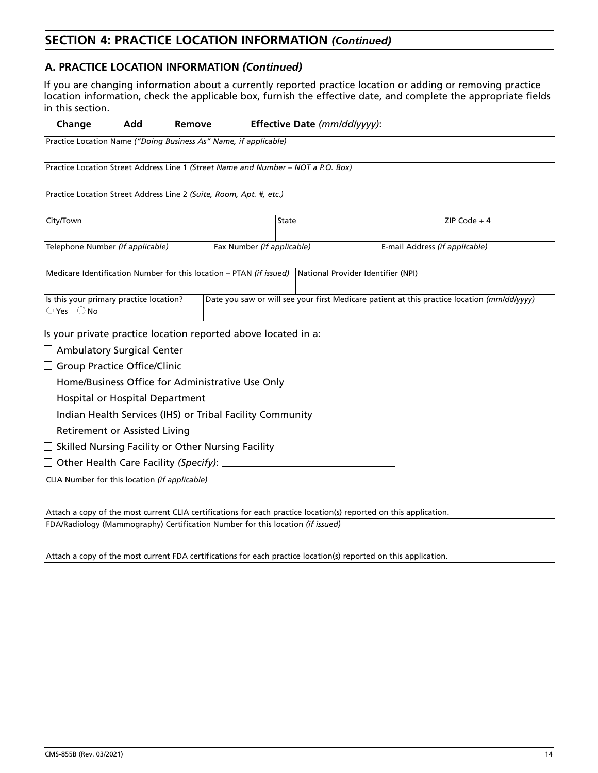### **A. PRACTICE LOCATION INFORMATION** *(Continued)*

If you are changing information about a currently reported practice location or adding or removing practice location information, check the applicable box, furnish the effective date, and complete the appropriate fields in this section.

| $\Box$ Change                                                           | $\Box$ Add                                                     | <b>Remove</b> |                                                                                   |       | Effective Date ( $mm/dd/yyy$ ): _  |                                                                                             |
|-------------------------------------------------------------------------|----------------------------------------------------------------|---------------|-----------------------------------------------------------------------------------|-------|------------------------------------|---------------------------------------------------------------------------------------------|
|                                                                         |                                                                |               | Practice Location Name ("Doing Business As" Name, if applicable)                  |       |                                    |                                                                                             |
|                                                                         |                                                                |               | Practice Location Street Address Line 1 (Street Name and Number – NOT a P.O. Box) |       |                                    |                                                                                             |
|                                                                         |                                                                |               | Practice Location Street Address Line 2 (Suite, Room, Apt. #, etc.)               |       |                                    |                                                                                             |
| City/Town                                                               |                                                                |               |                                                                                   | State |                                    | ZIP Code $+4$                                                                               |
|                                                                         | Telephone Number (if applicable)<br>Fax Number (if applicable) |               | E-mail Address (if applicable)                                                    |       |                                    |                                                                                             |
|                                                                         |                                                                |               | Medicare Identification Number for this location - PTAN (if issued)               |       | National Provider Identifier (NPI) |                                                                                             |
| Is this your primary practice location?<br>$\bigcirc$ Yes $\bigcirc$ No |                                                                |               |                                                                                   |       |                                    | Date you saw or will see your first Medicare patient at this practice location (mm/dd/yyyy) |
|                                                                         |                                                                |               | Is your private practice location reported above located in a:                    |       |                                    |                                                                                             |
| $\Box$ Ambulatory Surgical Center                                       |                                                                |               |                                                                                   |       |                                    |                                                                                             |
| Group Practice Office/Clinic                                            |                                                                |               |                                                                                   |       |                                    |                                                                                             |
|                                                                         |                                                                |               | $\Box$ Home/Business Office for Administrative Use Only                           |       |                                    |                                                                                             |
| $\Box$ Hospital or Hospital Department                                  |                                                                |               |                                                                                   |       |                                    |                                                                                             |

- $\Box$  Indian Health Services (IHS) or Tribal Facility Community
- $\Box$  Retirement or Assisted Living
- $\Box$  Skilled Nursing Facility or Other Nursing Facility
- □ Other Health Care Facility (Specify):

CLIA Number for this location *(if applicable)* 

Attach a copy of the most current CLIA certifications for each practice location(s) reported on this application.

FDA/Radiology (Mammography) Certification Number for this location *(if issued)* 

Attach a copy of the most current FDA certifications for each practice location(s) reported on this application.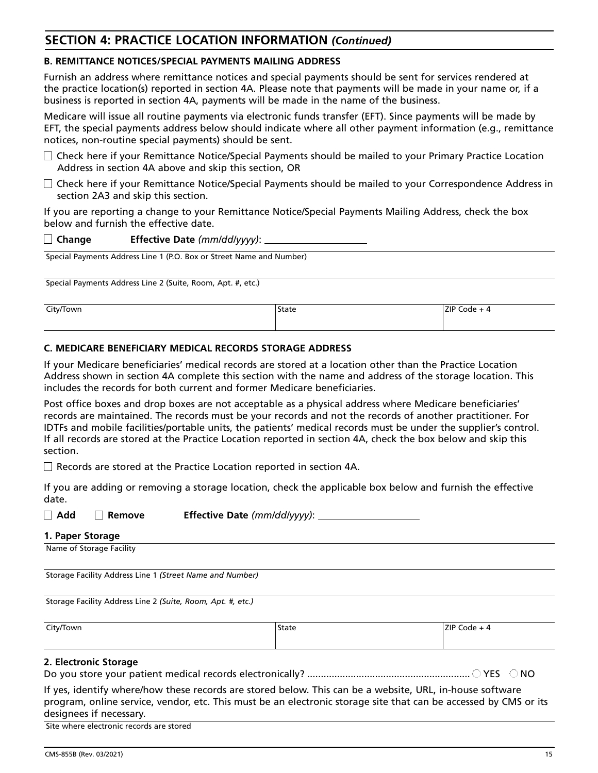#### **B. REMITTANCE NOTICES/SPECIAL PAYMENTS MAILING ADDRESS**

Furnish an address where remittance notices and special payments should be sent for services rendered at the practice location(s) reported in section 4A. Please note that payments will be made in your name or, if a business is reported in section 4A, payments will be made in the name of the business.

Medicare will issue all routine payments via electronic funds transfer (EFT). Since payments will be made by EFT, the special payments address below should indicate where all other payment information (e.g., remittance notices, non-routine special payments) should be sent.

- $\Box$  Check here if your Remittance Notice/Special Payments should be mailed to your Primary Practice Location Address in section 4A above and skip this section, OR
- $\Box$  Check here if your Remittance Notice/Special Payments should be mailed to your Correspondence Address in section 2A3 and skip this section.

If you are reporting a change to your Remittance Notice/Special Payments Mailing Address, check the box below and furnish the effective date.

| $\Box$ Change | Effective Date (mm/dd/yyyy): |
|---------------|------------------------------|
|               |                              |

Special Payments Address Line 1 (P.O. Box or Street Name and Number)

Special Payments Address Line 2 (Suite, Room, Apt. #, etc.)

| City/Town | 'State | ZIP Code |
|-----------|--------|----------|
|           |        |          |

#### **C. MEDICARE BENEFICIARY MEDICAL RECORDS STORAGE ADDRESS**

If your Medicare beneficiaries' medical records are stored at a location other than the Practice Location Address shown in section 4A complete this section with the name and address of the storage location. This includes the records for both current and former Medicare beneficiaries.

Post office boxes and drop boxes are not acceptable as a physical address where Medicare beneficiaries' records are maintained. The records must be your records and not the records of another practitioner. For IDTFs and mobile facilities/portable units, the patients' medical records must be under the supplier's control. If all records are stored at the Practice Location reported in section 4A, check the box below and skip this section.

 $\Box$  Records are stored at the Practice Location reported in section 4A.

If you are adding or removing a storage location, check the applicable box below and furnish the effective date.

| $\Box$ Add | Remove | Effective Date (mm/dd/yyyy): |
|------------|--------|------------------------------|
|------------|--------|------------------------------|

#### **1. Paper Storage**

Name of Storage Facility

Storage Facility Address Line 1 *(Street Name and Number)*

Storage Facility Address Line 2 *(Suite, Room, Apt. #, etc.)*

City/Town State ZIP Code + 4

#### **2. Electronic Storage**

Do you store your patient medical records electronically? ............................................................ YES NO

| If yes, identify where/how these records are stored below. This can be a website, URL, in-house software         |
|------------------------------------------------------------------------------------------------------------------|
| program, online service, vendor, etc. This must be an electronic storage site that can be accessed by CMS or its |
| designees if necessary.                                                                                          |

Site where electronic records are stored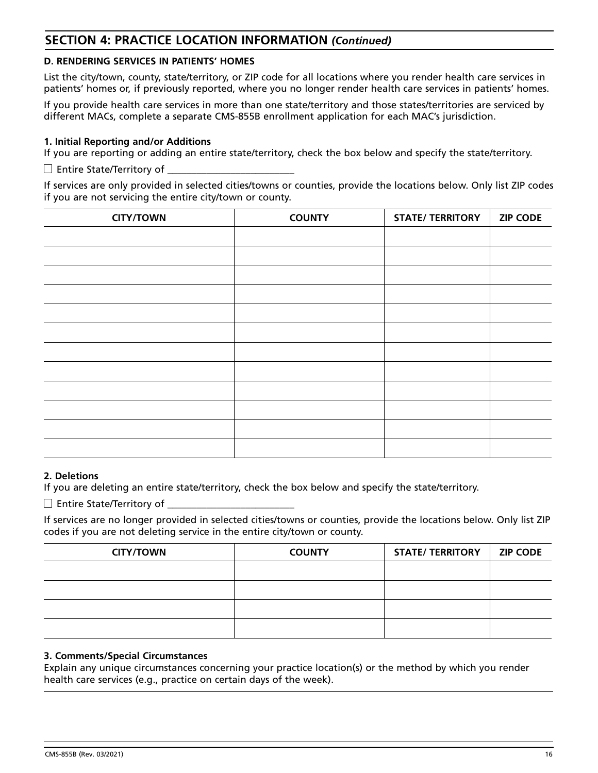### **D. RENDERING SERVICES IN PATIENTS' HOMES**

List the city/town, county, state/territory, or ZIP code for all locations where you render health care services in patients' homes or, if previously reported, where you no longer render health care services in patients' homes.

If you provide health care services in more than one state/territory and those states/territories are serviced by different MACs, complete a separate CMS-855B enrollment application for each MAC's jurisdiction.

### **1. Initial Reporting and/or Additions**

If you are reporting or adding an entire state/territory, check the box below and specify the state/territory.

 $\Box$  Entire State/Territory of

If services are only provided in selected cities/towns or counties, provide the locations below. Only list ZIP codes if you are not servicing the entire city/town or county.

| <b>CITY/TOWN</b> | <b>COUNTY</b> | <b>STATE/ TERRITORY</b> | <b>ZIP CODE</b> |
|------------------|---------------|-------------------------|-----------------|
|                  |               |                         |                 |
|                  |               |                         |                 |
|                  |               |                         |                 |
|                  |               |                         |                 |
|                  |               |                         |                 |
|                  |               |                         |                 |
|                  |               |                         |                 |
|                  |               |                         |                 |
|                  |               |                         |                 |
|                  |               |                         |                 |
|                  |               |                         |                 |
|                  |               |                         |                 |

#### **2. Deletions**

If you are deleting an entire state/territory, check the box below and specify the state/territory.

 $\Box$  Entire State/Territory of

If services are no longer provided in selected cities/towns or counties, provide the locations below. Only list ZIP codes if you are not deleting service in the entire city/town or county.

| <b>CITY/TOWN</b> | <b>COUNTY</b> | <b>STATE/ TERRITORY</b> | <b>ZIP CODE</b> |
|------------------|---------------|-------------------------|-----------------|
|                  |               |                         |                 |
|                  |               |                         |                 |
|                  |               |                         |                 |
|                  |               |                         |                 |

#### **3. Comments/Special Circumstances**

Explain any unique circumstances concerning your practice location(s) or the method by which you render health care services (e.g., practice on certain days of the week).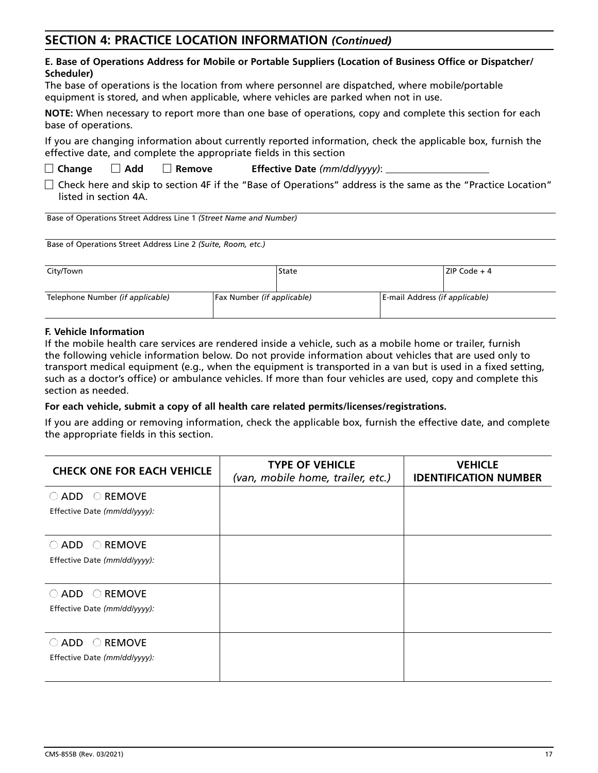#### **E. Base of Operations Address for Mobile or Portable Suppliers (Location of Business Office or Dispatcher/ Scheduler)**

The base of operations is the location from where personnel are dispatched, where mobile/portable equipment is stored, and when applicable, where vehicles are parked when not in use.

**NOTE:** When necessary to report more than one base of operations, copy and complete this section for each base of operations.

If you are changing information about currently reported information, check the applicable box, furnish the effective date, and complete the appropriate fields in this section

- **Change Add Remove Effective Date** *(mm/dd/yyyy)*:
- $\Box$  Check here and skip to section 4F if the "Base of Operations" address is the same as the "Practice Location" listed in section 4A.

Base of Operations Street Address Line 1 *(Street Name and Number)*

Base of Operations Street Address Line 2 *(Suite, Room, etc.)*

| City/Town                        |                            | State |                                | ZIP Code + 4 |
|----------------------------------|----------------------------|-------|--------------------------------|--------------|
| Telephone Number (if applicable) | Fax Number (if applicable) |       | E-mail Address (if applicable) |              |

#### **F. Vehicle Information**

If the mobile health care services are rendered inside a vehicle, such as a mobile home or trailer, furnish the following vehicle information below. Do not provide information about vehicles that are used only to transport medical equipment (e.g., when the equipment is transported in a van but is used in a fixed setting, such as a doctor's office) or ambulance vehicles. If more than four vehicles are used, copy and complete this section as needed.

#### **For each vehicle, submit a copy of all health care related permits/licenses/registrations.**

If you are adding or removing information, check the applicable box, furnish the effective date, and complete the appropriate fields in this section.

| <b>CHECK ONE FOR EACH VEHICLE</b>                  | <b>TYPE OF VEHICLE</b><br>(van, mobile home, trailer, etc.) | <b>VEHICLE</b><br><b>IDENTIFICATION NUMBER</b> |
|----------------------------------------------------|-------------------------------------------------------------|------------------------------------------------|
| $\bigcirc$ REMOVE<br>$\bigcirc$ ADD                |                                                             |                                                |
| Effective Date (mm/dd/yyyy):                       |                                                             |                                                |
| $\bigcirc$ REMOVE<br>$\bigcirc$ ADD                |                                                             |                                                |
| Effective Date (mm/dd/yyyy):                       |                                                             |                                                |
| <b>REMOVE</b><br>$\bigcirc$ add<br>$\left(\right)$ |                                                             |                                                |
| Effective Date (mm/dd/yyyy):                       |                                                             |                                                |
| <b>REMOVE</b><br>$\bigcirc$ ADD<br>$(\ )$          |                                                             |                                                |
| Effective Date (mm/dd/yyyy):                       |                                                             |                                                |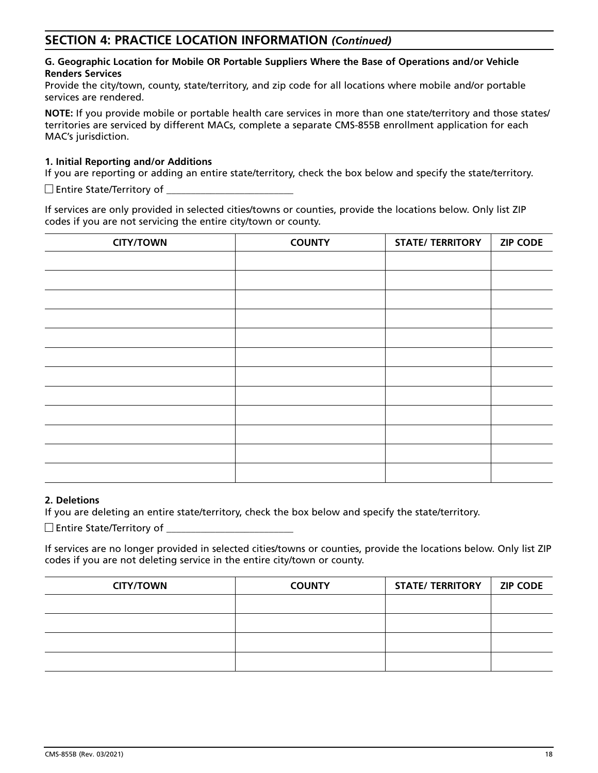#### **G. Geographic Location for Mobile OR Portable Suppliers Where the Base of Operations and/or Vehicle Renders Services**

Provide the city/town, county, state/territory, and zip code for all locations where mobile and/or portable services are rendered.

**NOTE:** If you provide mobile or portable health care services in more than one state/territory and those states/ territories are serviced by different MACs, complete a separate CMS-855B enrollment application for each MAC's jurisdiction.

#### **1. Initial Reporting and/or Additions**

If you are reporting or adding an entire state/territory, check the box below and specify the state/territory.

 $\square$  Entire State/Territory of

If services are only provided in selected cities/towns or counties, provide the locations below. Only list ZIP codes if you are not servicing the entire city/town or county.

| <b>CITY/TOWN</b> | <b>COUNTY</b> | <b>STATE/ TERRITORY</b> | <b>ZIP CODE</b> |
|------------------|---------------|-------------------------|-----------------|
|                  |               |                         |                 |
|                  |               |                         |                 |
|                  |               |                         |                 |
|                  |               |                         |                 |
|                  |               |                         |                 |
|                  |               |                         |                 |
|                  |               |                         |                 |
|                  |               |                         |                 |
|                  |               |                         |                 |
|                  |               |                         |                 |
|                  |               |                         |                 |
|                  |               |                         |                 |

#### **2. Deletions**

If you are deleting an entire state/territory, check the box below and specify the state/territory.

 $\Box$  Entire State/Territory of

If services are no longer provided in selected cities/towns or counties, provide the locations below. Only list ZIP codes if you are not deleting service in the entire city/town or county.

| <b>CITY/TOWN</b> | <b>COUNTY</b> | <b>STATE/ TERRITORY</b> | <b>ZIP CODE</b> |
|------------------|---------------|-------------------------|-----------------|
|                  |               |                         |                 |
|                  |               |                         |                 |
|                  |               |                         |                 |
|                  |               |                         |                 |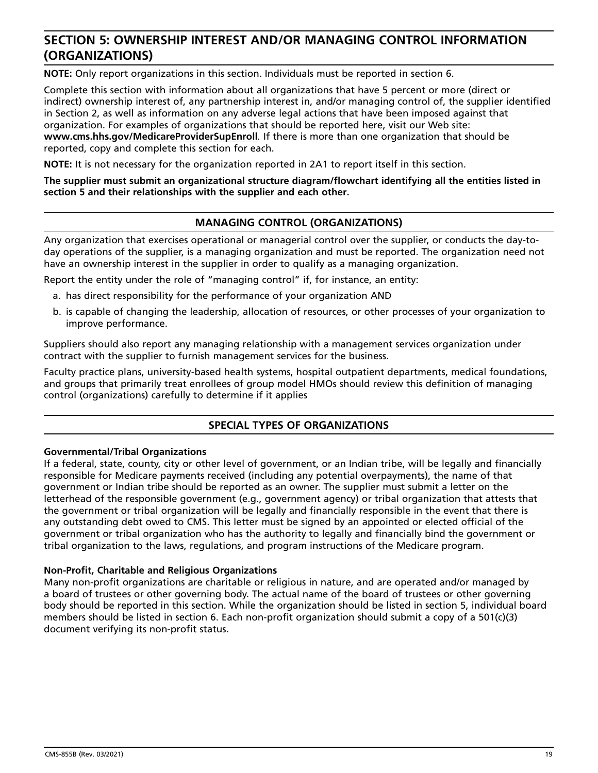# **SECTION 5: OWNERSHIP INTEREST AND/OR MANAGING CONTROL INFORMATION (ORGANIZATIONS)**

**NOTE:** Only report organizations in this section. Individuals must be reported in section 6.

Complete this section with information about all organizations that have 5 percent or more (direct or indirect) ownership interest of, any partnership interest in, and/or managing control of, the supplier identified in Section 2, as well as information on any adverse legal actions that have been imposed against that organization. For examples of organizations that should be reported here, visit our Web site:

**[www.cms.hhs.gov/MedicareProviderSupEnroll](http://www.cms.hhs.gov/MedicareProviderSupEnroll)***.* If there is more than one organization that should be reported, copy and complete this section for each.

**NOTE:** It is not necessary for the organization reported in 2A1 to report itself in this section.

**The supplier must submit an organizational structure diagram/flowchart identifying all the entities listed in section 5 and their relationships with the supplier and each other.**

### **MANAGING CONTROL (ORGANIZATIONS)**

Any organization that exercises operational or managerial control over the supplier, or conducts the day-today operations of the supplier, is a managing organization and must be reported. The organization need not have an ownership interest in the supplier in order to qualify as a managing organization.

Report the entity under the role of "managing control" if, for instance, an entity:

- a. has direct responsibility for the performance of your organization AND
- b. is capable of changing the leadership, allocation of resources, or other processes of your organization to improve performance.

Suppliers should also report any managing relationship with a management services organization under contract with the supplier to furnish management services for the business.

Faculty practice plans, university-based health systems, hospital outpatient departments, medical foundations, and groups that primarily treat enrollees of group model HMOs should review this definition of managing control (organizations) carefully to determine if it applies

#### **SPECIAL TYPES OF ORGANIZATIONS**

#### **Governmental/Tribal Organizations**

If a federal, state, county, city or other level of government, or an Indian tribe, will be legally and financially responsible for Medicare payments received (including any potential overpayments), the name of that government or Indian tribe should be reported as an owner. The supplier must submit a letter on the letterhead of the responsible government (e.g., government agency) or tribal organization that attests that the government or tribal organization will be legally and financially responsible in the event that there is any outstanding debt owed to CMS. This letter must be signed by an appointed or elected official of the government or tribal organization who has the authority to legally and financially bind the government or tribal organization to the laws, regulations, and program instructions of the Medicare program.

#### **Non-Profit, Charitable and Religious Organizations**

Many non-profit organizations are charitable or religious in nature, and are operated and/or managed by a board of trustees or other governing body. The actual name of the board of trustees or other governing body should be reported in this section. While the organization should be listed in section 5, individual board members should be listed in section 6. Each non-profit organization should submit a copy of a 501(c)(3) document verifying its non-profit status.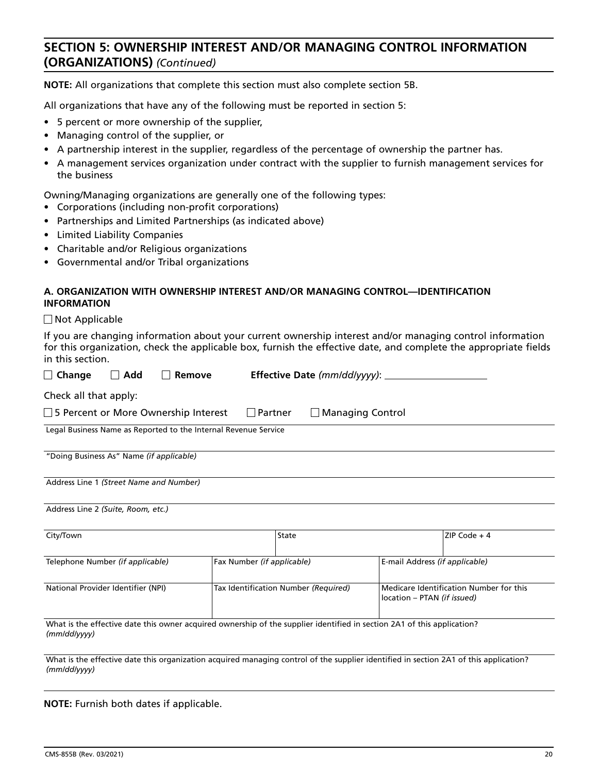# **SECTION 5: OWNERSHIP INTEREST AND/OR MANAGING CONTROL INFORMATION (ORGANIZATIONS)** *(Continued)*

**NOTE:** All organizations that complete this section must also complete section 5B.

All organizations that have any of the following must be reported in section 5:

- 5 percent or more ownership of the supplier,
- Managing control of the supplier, or
- A partnership interest in the supplier, regardless of the percentage of ownership the partner has.
- A management services organization under contract with the supplier to furnish management services for the business

Owning/Managing organizations are generally one of the following types:

- Corporations (including non-profit corporations)
- Partnerships and Limited Partnerships (as indicated above)
- Limited Liability Companies
- Charitable and/or Religious organizations
- Governmental and/or Tribal organizations

#### **A. ORGANIZATION WITH OWNERSHIP INTEREST AND/OR MANAGING CONTROL—IDENTIFICATION INFORMATION**

Not Applicable

If you are changing information about your current ownership interest and/or managing control information for this organization, check the applicable box, furnish the effective date, and complete the appropriate fields in this section.

| Add<br>Change                                                   | <b>Effective Date (mm/dd/yyyy):</b><br>Remove                                                                           |                                                                        |
|-----------------------------------------------------------------|-------------------------------------------------------------------------------------------------------------------------|------------------------------------------------------------------------|
| Check all that apply:                                           |                                                                                                                         |                                                                        |
| □ 5 Percent or More Ownership Interest                          | Partner                                                                                                                 | <b>Managing Control</b>                                                |
| Legal Business Name as Reported to the Internal Revenue Service |                                                                                                                         |                                                                        |
| "Doing Business As" Name (if applicable)                        |                                                                                                                         |                                                                        |
| Address Line 1 (Street Name and Number)                         |                                                                                                                         |                                                                        |
| Address Line 2 (Suite, Room, etc.)                              |                                                                                                                         |                                                                        |
| City/Town                                                       | State                                                                                                                   | ZIP Code $+4$                                                          |
| Telephone Number (if applicable)                                | Fax Number (if applicable)                                                                                              | E-mail Address (if applicable)                                         |
| National Provider Identifier (NPI)                              | Tax Identification Number (Required)                                                                                    | Medicare Identification Number for this<br>location - PTAN (if issued) |
| (mm/dd/yyyy)                                                    | What is the effective date this owner acquired ownership of the supplier identified in section 2A1 of this application? |                                                                        |

**NOTE:** Furnish both dates if applicable.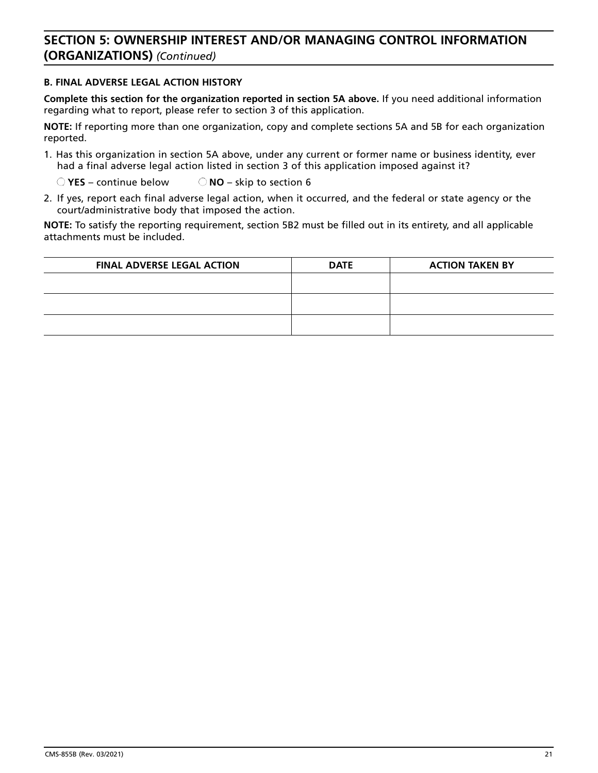# **SECTION 5: OWNERSHIP INTEREST AND/OR MANAGING CONTROL INFORMATION (ORGANIZATIONS)** *(Continued)*

#### **B. FINAL ADVERSE LEGAL ACTION HISTORY**

**Complete this section for the organization reported in section 5A above.** If you need additional information regarding what to report, please refer to section 3 of this application.

**NOTE:** If reporting more than one organization, copy and complete sections 5A and 5B for each organization reported.

1. Has this organization in section 5A above, under any current or former name or business identity, ever had a final adverse legal action listed in section 3 of this application imposed against it?

**YES** – continue below **NO** – skip to section 6

2. If yes, report each final adverse legal action, when it occurred, and the federal or state agency or the court/administrative body that imposed the action.

**NOTE:** To satisfy the reporting requirement, section 5B2 must be filled out in its entirety, and all applicable attachments must be included.

| <b>FINAL ADVERSE LEGAL ACTION</b> | <b>DATE</b> | <b>ACTION TAKEN BY</b> |
|-----------------------------------|-------------|------------------------|
|                                   |             |                        |
|                                   |             |                        |
|                                   |             |                        |
|                                   |             |                        |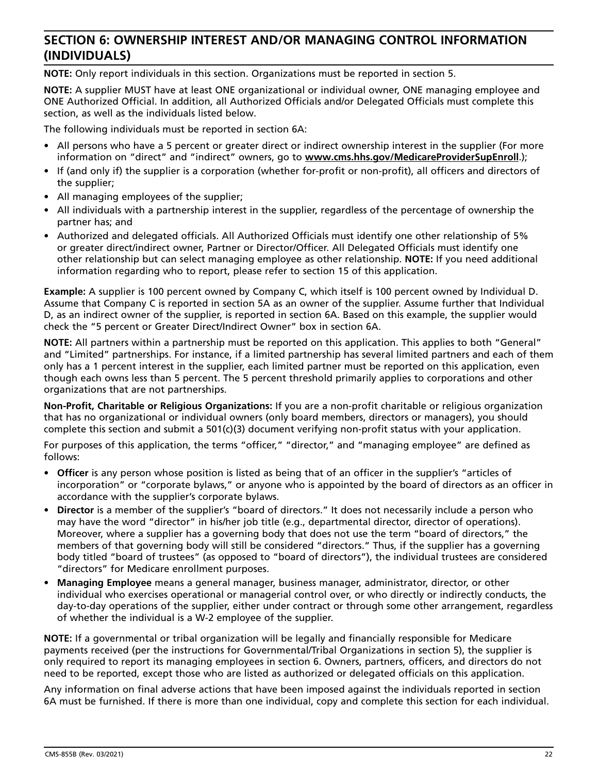# **SECTION 6: OWNERSHIP INTEREST AND/OR MANAGING CONTROL INFORMATION (INDIVIDUALS)**

**NOTE:** Only report individuals in this section. Organizations must be reported in section 5.

**NOTE:** A supplier MUST have at least ONE organizational or individual owner, ONE managing employee and ONE Authorized Official. In addition, all Authorized Officials and/or Delegated Officials must complete this section, as well as the individuals listed below.

The following individuals must be reported in section 6A:

- All persons who have a 5 percent or greater direct or indirect ownership interest in the supplier (For more information on "direct" and "indirect" owners, go to **[www.cms.hhs.gov/MedicareProviderSupEnroll](http://www.cms.hhs.gov/MedicareProviderSupEnroll)**.);
- If (and only if) the supplier is a corporation (whether for-profit or non-profit), all officers and directors of the supplier;
- All managing employees of the supplier;
- All individuals with a partnership interest in the supplier, regardless of the percentage of ownership the partner has; and
- Authorized and delegated officials. All Authorized Officials must identify one other relationship of 5% or greater direct/indirect owner, Partner or Director/Officer. All Delegated Officials must identify one other relationship but can select managing employee as other relationship. **NOTE:** If you need additional information regarding who to report, please refer to section 15 of this application.

**Example:** A supplier is 100 percent owned by Company C, which itself is 100 percent owned by Individual D. Assume that Company C is reported in section 5A as an owner of the supplier. Assume further that Individual D, as an indirect owner of the supplier, is reported in section 6A. Based on this example, the supplier would check the "5 percent or Greater Direct/Indirect Owner" box in section 6A.

**NOTE:** All partners within a partnership must be reported on this application. This applies to both "General" and "Limited" partnerships. For instance, if a limited partnership has several limited partners and each of them only has a 1 percent interest in the supplier, each limited partner must be reported on this application, even though each owns less than 5 percent. The 5 percent threshold primarily applies to corporations and other organizations that are not partnerships.

**Non-Profit, Charitable or Religious Organizations:** If you are a non-profit charitable or religious organization that has no organizational or individual owners (only board members, directors or managers), you should complete this section and submit a 501(c)(3) document verifying non-profit status with your application.

For purposes of this application, the terms "officer," "director," and "managing employee" are defined as follows:

- **Officer** is any person whose position is listed as being that of an officer in the supplier's "articles of incorporation" or "corporate bylaws," or anyone who is appointed by the board of directors as an officer in accordance with the supplier's corporate bylaws.
- **Director** is a member of the supplier's "board of directors." It does not necessarily include a person who may have the word "director" in his/her job title (e.g., departmental director, director of operations). Moreover, where a supplier has a governing body that does not use the term "board of directors," the members of that governing body will still be considered "directors." Thus, if the supplier has a governing body titled "board of trustees" (as opposed to "board of directors"), the individual trustees are considered "directors" for Medicare enrollment purposes.
- **Managing Employee** means a general manager, business manager, administrator, director, or other individual who exercises operational or managerial control over, or who directly or indirectly conducts, the day-to-day operations of the supplier, either under contract or through some other arrangement, regardless of whether the individual is a W-2 employee of the supplier.

**NOTE:** If a governmental or tribal organization will be legally and financially responsible for Medicare payments received (per the instructions for Governmental/Tribal Organizations in section 5), the supplier is only required to report its managing employees in section 6. Owners, partners, officers, and directors do not need to be reported, except those who are listed as authorized or delegated officials on this application.

Any information on final adverse actions that have been imposed against the individuals reported in section 6A must be furnished. If there is more than one individual, copy and complete this section for each individual.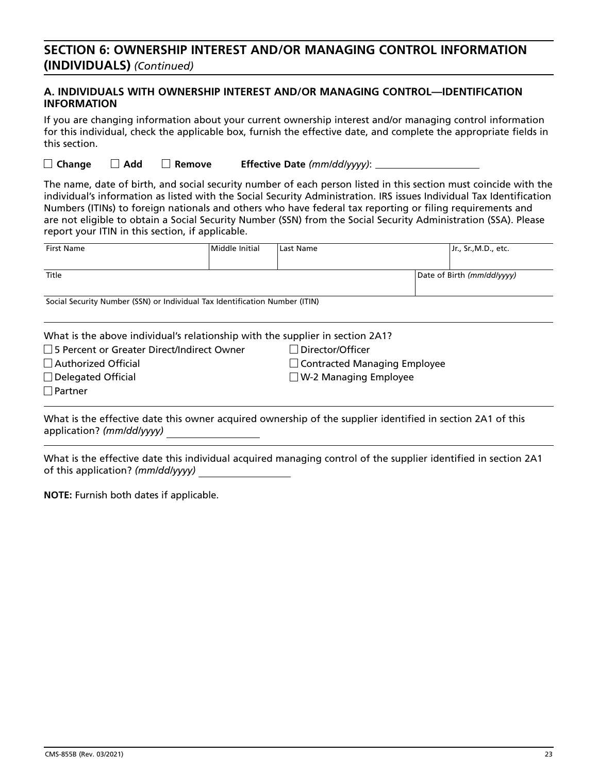# **SECTION 6: OWNERSHIP INTEREST AND/OR MANAGING CONTROL INFORMATION (INDIVIDUALS)** *(Continued)*

### **A. INDIVIDUALS WITH OWNERSHIP INTEREST AND/OR MANAGING CONTROL—IDENTIFICATION INFORMATION**

If you are changing information about your current ownership interest and/or managing control information for this individual, check the applicable box, furnish the effective date, and complete the appropriate fields in this section.

**Change Add Remove Effective Date** *(mm/dd/yyyy)*:

The name, date of birth, and social security number of each person listed in this section must coincide with the individual's information as listed with the Social Security Administration. IRS issues Individual Tax Identification Numbers (ITINs) to foreign nationals and others who have federal tax reporting or filing requirements and are not eligible to obtain a Social Security Number (SSN) from the Social Security Administration (SSA). Please report your ITIN in this section, if applicable.

| <b>First Name</b>                                                             | Middle Initial | Last Name                      |  | Jr., Sr., M.D., etc.       |
|-------------------------------------------------------------------------------|----------------|--------------------------------|--|----------------------------|
|                                                                               |                |                                |  |                            |
| Title                                                                         |                |                                |  | Date of Birth (mm/dd/yyyy) |
|                                                                               |                |                                |  |                            |
| Social Security Number (SSN) or Individual Tax Identification Number (ITIN)   |                |                                |  |                            |
|                                                                               |                |                                |  |                            |
| What is the above individual's relationship with the supplier in section 2A1? |                |                                |  |                            |
| □ 5 Percent or Greater Direct/Indirect Owner                                  |                | ∣ ∣Director/Officer            |  |                            |
| $\Box$ Authorized Official                                                    |                | □ Contracted Managing Employee |  |                            |
| $\Box$ Delegated Official                                                     |                | $\Box$ W-2 Managing Employee   |  |                            |
| $\Box$ Partner                                                                |                |                                |  |                            |

What is the effective date this owner acquired ownership of the supplier identified in section 2A1 of this application? *(mm/dd/yyyy)*

What is the effective date this individual acquired managing control of the supplier identified in section 2A1 of this application? *(mm/dd/yyyy)*

**NOTE:** Furnish both dates if applicable.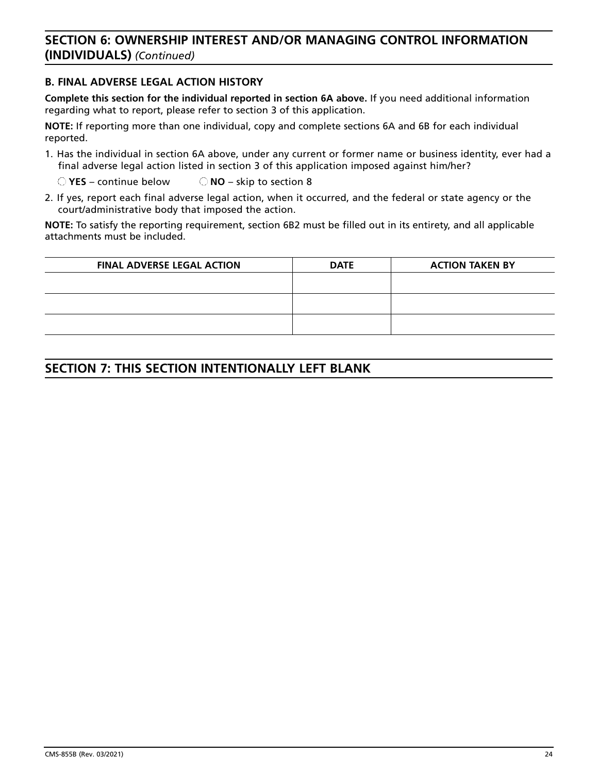# **SECTION 6: OWNERSHIP INTEREST AND/OR MANAGING CONTROL INFORMATION (INDIVIDUALS)** *(Continued)*

### **B. FINAL ADVERSE LEGAL ACTION HISTORY**

**Complete this section for the individual reported in section 6A above.** If you need additional information regarding what to report, please refer to section 3 of this application.

**NOTE:** If reporting more than one individual, copy and complete sections 6A and 6B for each individual reported.

1. Has the individual in section 6A above, under any current or former name or business identity, ever had a final adverse legal action listed in section 3 of this application imposed against him/her?

**YES** – continue below **NO** – skip to section 8

2. If yes, report each final adverse legal action, when it occurred, and the federal or state agency or the court/administrative body that imposed the action.

**NOTE:** To satisfy the reporting requirement, section 6B2 must be filled out in its entirety, and all applicable attachments must be included.

| <b>FINAL ADVERSE LEGAL ACTION</b> | <b>DATE</b> | <b>ACTION TAKEN BY</b> |
|-----------------------------------|-------------|------------------------|
|                                   |             |                        |
|                                   |             |                        |
|                                   |             |                        |
|                                   |             |                        |

# **SECTION 7: THIS SECTION INTENTIONALLY LEFT BLANK**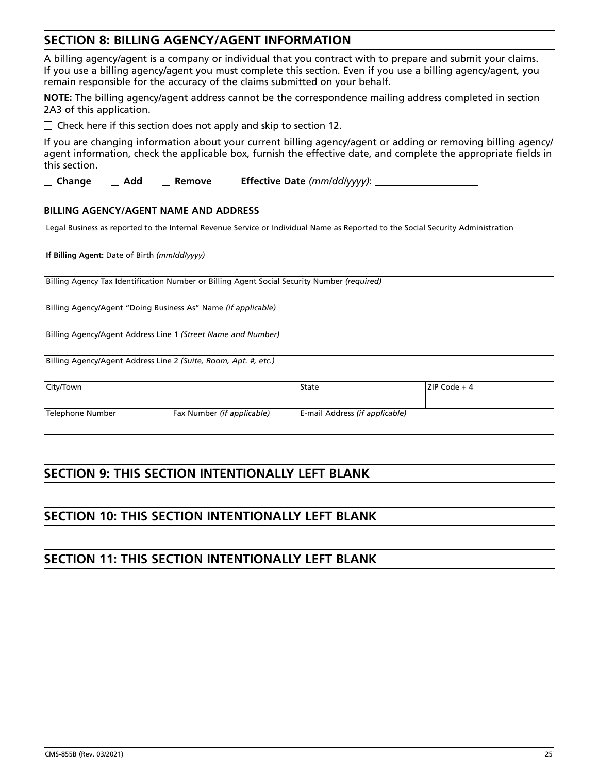# **SECTION 8: BILLING AGENCY/AGENT INFORMATION**

| A billing agency/agent is a company or individual that you contract with to prepare and submit your claims.   |
|---------------------------------------------------------------------------------------------------------------|
| If you use a billing agency/agent you must complete this section. Even if you use a billing agency/agent, you |
| remain responsible for the accuracy of the claims submitted on your behalf.                                   |

**NOTE:** The billing agency/agent address cannot be the correspondence mailing address completed in section 2A3 of this application.

 $\Box$  Check here if this section does not apply and skip to section 12.

If you are changing information about your current billing agency/agent or adding or removing billing agency/ agent information, check the applicable box, furnish the effective date, and complete the appropriate fields in this section.

**Change Add Remove Effective Date** *(mm/dd/yyyy)*:

#### **BILLING AGENCY/AGENT NAME AND ADDRESS**

Legal Business as reported to the Internal Revenue Service or Individual Name as Reported to the Social Security Administration

**If Billing Agent:** Date of Birth *(mm/dd/yyyy)*

Billing Agency Tax Identification Number or Billing Agent Social Security Number *(required)*

Billing Agency/Agent "Doing Business As" Name *(if applicable)*

Billing Agency/Agent Address Line 1 *(Street Name and Number)* 

Billing Agency/Agent Address Line 2 *(Suite, Room, Apt. #, etc.)*

| City/Town        |                                   | State                          | ZIP Code + 4 |
|------------------|-----------------------------------|--------------------------------|--------------|
| Telephone Number | <b>Fax Number (if applicable)</b> | E-mail Address (if applicable) |              |

# **SECTION 9: THIS SECTION INTENTIONALLY LEFT BLANK**

# **SECTION 10: THIS SECTION INTENTIONALLY LEFT BLANK**

# **SECTION 11: THIS SECTION INTENTIONALLY LEFT BLANK**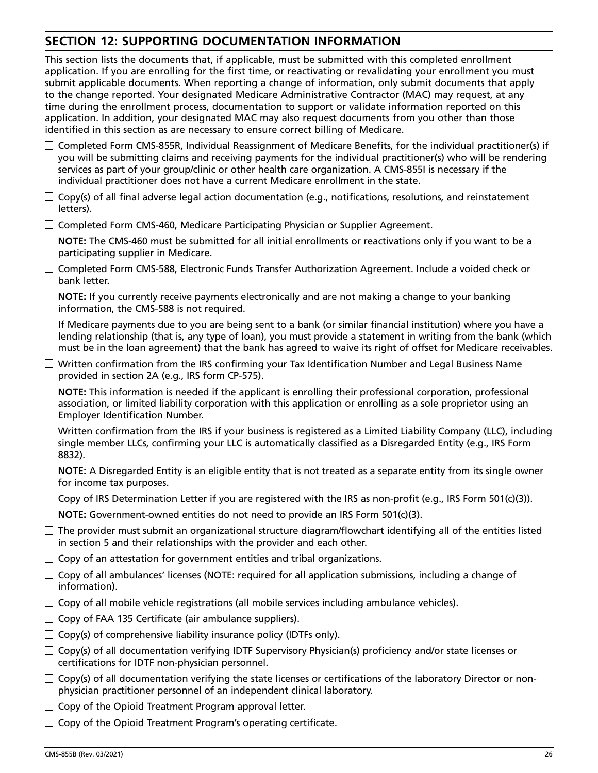# <span id="page-26-0"></span>**SECTION 12: SUPPORTING DOCUMENTATION INFORMATION**

This section lists the documents that, if applicable, must be submitted with this completed enrollment application. If you are enrolling for the first time, or reactivating or revalidating your enrollment you must submit applicable documents. When reporting a change of information, only submit documents that apply to the change reported. Your designated Medicare Administrative Contractor (MAC) may request, at any time during the enrollment process, documentation to support or validate information reported on this application. In addition, your designated MAC may also request documents from you other than those identified in this section as are necessary to ensure correct billing of Medicare.

- $\Box$  Completed Form CMS-855R, Individual Reassignment of Medicare Benefits, for the individual practitioner(s) if you will be submitting claims and receiving payments for the individual practitioner(s) who will be rendering services as part of your group/clinic or other health care organization. A CMS-855I is necessary if the individual practitioner does not have a current Medicare enrollment in the state.
- $\Box$  Copy(s) of all final adverse legal action documentation (e.g., notifications, resolutions, and reinstatement letters).
- $\Box$  Completed Form CMS-460, Medicare Participating Physician or Supplier Agreement.

 **NOTE:** The CMS-460 must be submitted for all initial enrollments or reactivations only if you want to be a participating supplier in Medicare.

 $\Box$  Completed Form CMS-588, Electronic Funds Transfer Authorization Agreement. Include a voided check or bank letter.

 **NOTE:** If you currently receive payments electronically and are not making a change to your banking information, the CMS-588 is not required.

- $\Box$  If Medicare payments due to you are being sent to a bank (or similar financial institution) where you have a lending relationship (that is, any type of loan), you must provide a statement in writing from the bank (which must be in the loan agreement) that the bank has agreed to waive its right of offset for Medicare receivables.
- $\Box$  Written confirmation from the IRS confirming your Tax Identification Number and Legal Business Name provided in section 2A (e.g., IRS form CP-575).

 **NOTE:** This information is needed if the applicant is enrolling their professional corporation, professional association, or limited liability corporation with this application or enrolling as a sole proprietor using an Employer Identification Number.

 $\Box$  Written confirmation from the IRS if your business is registered as a Limited Liability Company (LLC), including single member LLCs, confirming your LLC is automatically classified as a Disregarded Entity (e.g., IRS Form 8832).

 **NOTE:** A Disregarded Entity is an eligible entity that is not treated as a separate entity from its single owner for income tax purposes.

 $\Box$  Copy of IRS Determination Letter if you are registered with the IRS as non-profit (e.g., IRS Form 501(c)(3)).

 **NOTE:** Government-owned entities do not need to provide an IRS Form 501(c)(3).

- $\Box$  The provider must submit an organizational structure diagram/flowchart identifying all of the entities listed in section 5 and their relationships with the provider and each other.
- $\Box$  Copy of an attestation for government entities and tribal organizations.
- $\Box$  Copy of all ambulances' licenses (NOTE: required for all application submissions, including a change of information).
- $\Box$  Copy of all mobile vehicle registrations (all mobile services including ambulance vehicles).
- $\Box$  Copy of FAA 135 Certificate (air ambulance suppliers).
- $\Box$  Copy(s) of comprehensive liability insurance policy (IDTFs only).
- $\Box$  Copy(s) of all documentation verifying IDTF Supervisory Physician(s) proficiency and/or state licenses or certifications for IDTF non-physician personnel.
- $\Box$  Copy(s) of all documentation verifying the state licenses or certifications of the laboratory Director or nonphysician practitioner personnel of an independent clinical laboratory.
- $\Box$  Copy of the Opioid Treatment Program approval letter.
- $\Box$  Copy of the Opioid Treatment Program's operating certificate.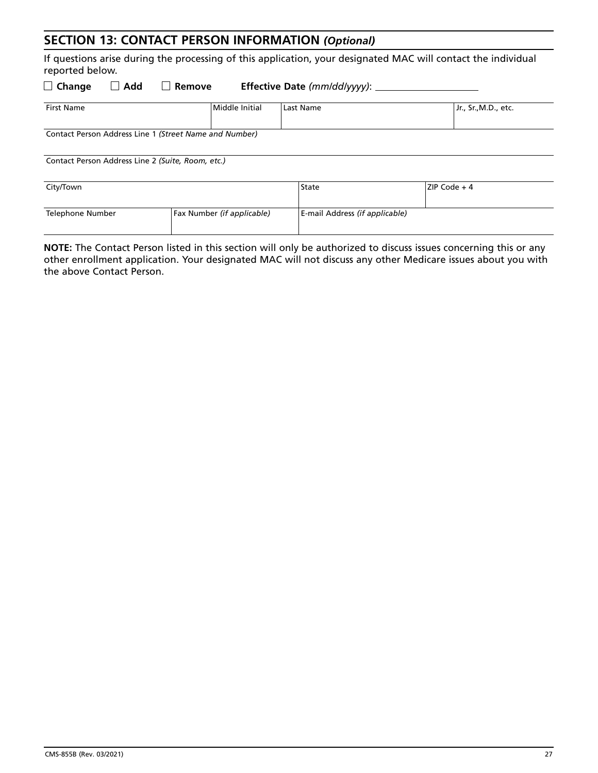# **SECTION 13: CONTACT PERSON INFORMATION** *(Optional)*

If questions arise during the processing of this application, your designated MAC will contact the individual reported below.

| Add<br>Effective Date (mm/dd/yyyy):<br>$\Box$ Change<br>Remove<br>$\Box$ |                                                        |                                |                     |  |  |  |
|--------------------------------------------------------------------------|--------------------------------------------------------|--------------------------------|---------------------|--|--|--|
| <b>First Name</b>                                                        | Middle Initial                                         | Last Name                      | Jr., Sr.,M.D., etc. |  |  |  |
|                                                                          | Contact Person Address Line 1 (Street Name and Number) |                                |                     |  |  |  |
| Contact Person Address Line 2 (Suite, Room, etc.)                        |                                                        |                                |                     |  |  |  |
| City/Town                                                                |                                                        | State                          | ZIP Code $+4$       |  |  |  |
| Telephone Number                                                         | Fax Number (if applicable)                             | E-mail Address (if applicable) |                     |  |  |  |
|                                                                          |                                                        |                                |                     |  |  |  |

**NOTE:** The Contact Person listed in this section will only be authorized to discuss issues concerning this or any other enrollment application. Your designated MAC will not discuss any other Medicare issues about you with the above Contact Person.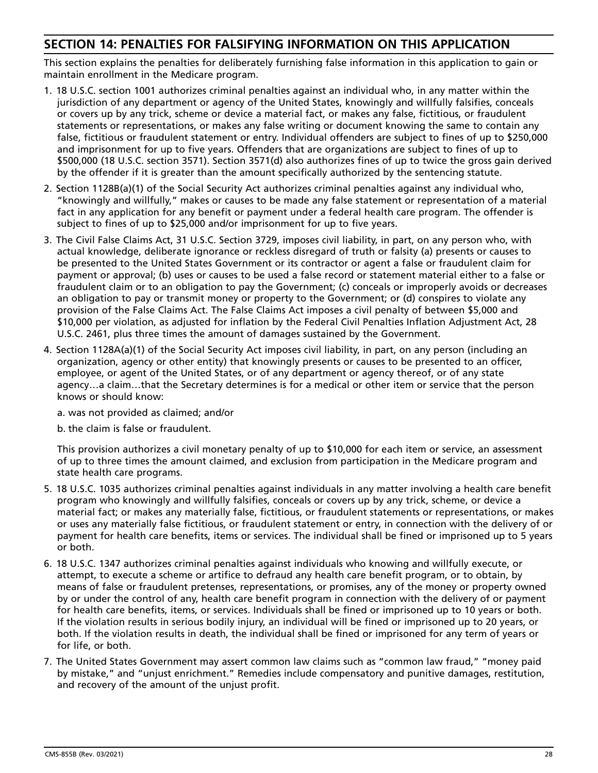# **SECTION 14: PENALTIES FOR FALSIFYING INFORMATION ON THIS APPLICATION**

This section explains the penalties for deliberately furnishing false information in this application to gain or maintain enrollment in the Medicare program.

- 1. 18 U.S.C. section 1001 authorizes criminal penalties against an individual who, in any matter within the jurisdiction of any department or agency of the United States, knowingly and willfully falsifies, conceals or covers up by any trick, scheme or device a material fact, or makes any false, fictitious, or fraudulent statements or representations, or makes any false writing or document knowing the same to contain any false, fictitious or fraudulent statement or entry. Individual offenders are subject to fines of up to \$250,000 and imprisonment for up to five years. Offenders that are organizations are subject to fines of up to \$500,000 (18 U.S.C. section 3571). Section 3571(d) also authorizes fines of up to twice the gross gain derived by the offender if it is greater than the amount specifically authorized by the sentencing statute.
- 2. Section 1128B(a)(1) of the Social Security Act authorizes criminal penalties against any individual who, "knowingly and willfully," makes or causes to be made any false statement or representation of a material fact in any application for any benefit or payment under a federal health care program. The offender is subject to fines of up to \$25,000 and/or imprisonment for up to five years.
- 3. The Civil False Claims Act, 31 U.S.C. Section 3729, imposes civil liability, in part, on any person who, with actual knowledge, deliberate ignorance or reckless disregard of truth or falsity (a) presents or causes to be presented to the United States Government or its contractor or agent a false or fraudulent claim for payment or approval; (b) uses or causes to be used a false record or statement material either to a false or fraudulent claim or to an obligation to pay the Government; (c) conceals or improperly avoids or decreases an obligation to pay or transmit money or property to the Government; or (d) conspires to violate any provision of the False Claims Act. The False Claims Act imposes a civil penalty of between \$5,000 and \$10,000 per violation, as adjusted for inflation by the Federal Civil Penalties Inflation Adjustment Act, 28 U.S.C. 2461, plus three times the amount of damages sustained by the Government.
- 4. Section 1128A(a)(1) of the Social Security Act imposes civil liability, in part, on any person (including an organization, agency or other entity) that knowingly presents or causes to be presented to an officer, employee, or agent of the United States, or of any department or agency thereof, or of any state agency…a claim…that the Secretary determines is for a medical or other item or service that the person knows or should know:
	- a. was not provided as claimed; and/or
	- b. the claim is false or fraudulent.

This provision authorizes a civil monetary penalty of up to \$10,000 for each item or service, an assessment of up to three times the amount claimed, and exclusion from participation in the Medicare program and state health care programs.

- 5. 18 U.S.C. 1035 authorizes criminal penalties against individuals in any matter involving a health care benefit program who knowingly and willfully falsifies, conceals or covers up by any trick, scheme, or device a material fact; or makes any materially false, fictitious, or fraudulent statements or representations, or makes or uses any materially false fictitious, or fraudulent statement or entry, in connection with the delivery of or payment for health care benefits, items or services. The individual shall be fined or imprisoned up to 5 years or both.
- 6. 18 U.S.C. 1347 authorizes criminal penalties against individuals who knowing and willfully execute, or attempt, to execute a scheme or artifice to defraud any health care benefit program, or to obtain, by means of false or fraudulent pretenses, representations, or promises, any of the money or property owned by or under the control of any, health care benefit program in connection with the delivery of or payment for health care benefits, items, or services. Individuals shall be fined or imprisoned up to 10 years or both. If the violation results in serious bodily injury, an individual will be fined or imprisoned up to 20 years, or both. If the violation results in death, the individual shall be fined or imprisoned for any term of years or for life, or both.
- 7. The United States Government may assert common law claims such as "common law fraud," "money paid by mistake," and "unjust enrichment." Remedies include compensatory and punitive damages, restitution, and recovery of the amount of the unjust profit.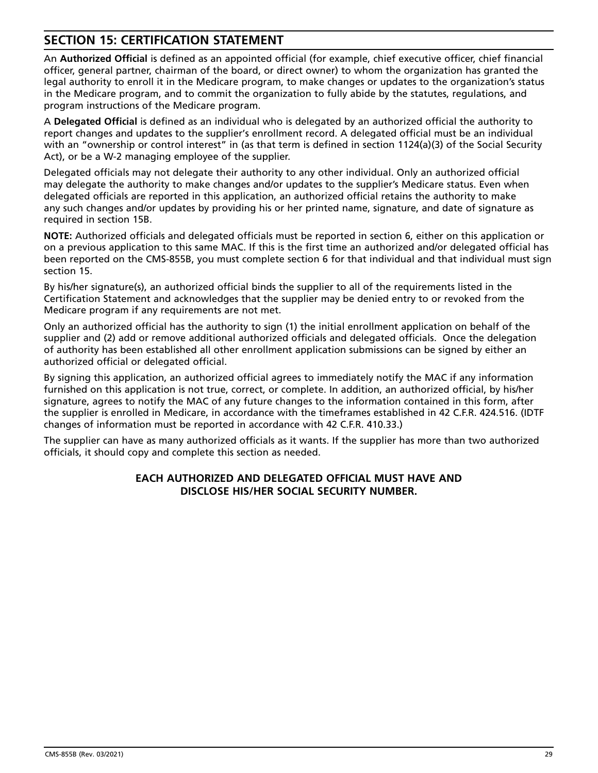# **SECTION 15: CERTIFICATION STATEMENT**

An **Authorized Official** is defined as an appointed official (for example, chief executive officer, chief financial officer, general partner, chairman of the board, or direct owner) to whom the organization has granted the legal authority to enroll it in the Medicare program, to make changes or updates to the organization's status in the Medicare program, and to commit the organization to fully abide by the statutes, regulations, and program instructions of the Medicare program.

A **Delegated Official** is defined as an individual who is delegated by an authorized official the authority to report changes and updates to the supplier's enrollment record. A delegated official must be an individual with an "ownership or control interest" in (as that term is defined in section 1124(a)(3) of the Social Security Act), or be a W-2 managing employee of the supplier.

Delegated officials may not delegate their authority to any other individual. Only an authorized official may delegate the authority to make changes and/or updates to the supplier's Medicare status. Even when delegated officials are reported in this application, an authorized official retains the authority to make any such changes and/or updates by providing his or her printed name, signature, and date of signature as required in section 15B.

**NOTE:** Authorized officials and delegated officials must be reported in section 6, either on this application or on a previous application to this same MAC. If this is the first time an authorized and/or delegated official has been reported on the CMS-855B, you must complete section 6 for that individual and that individual must sign section 15.

By his/her signature(s), an authorized official binds the supplier to all of the requirements listed in the Certification Statement and acknowledges that the supplier may be denied entry to or revoked from the Medicare program if any requirements are not met.

Only an authorized official has the authority to sign (1) the initial enrollment application on behalf of the supplier and (2) add or remove additional authorized officials and delegated officials. Once the delegation of authority has been established all other enrollment application submissions can be signed by either an authorized official or delegated official.

By signing this application, an authorized official agrees to immediately notify the MAC if any information furnished on this application is not true, correct, or complete. In addition, an authorized official, by his/her signature, agrees to notify the MAC of any future changes to the information contained in this form, after the supplier is enrolled in Medicare, in accordance with the timeframes established in 42 C.F.R. 424.516. (IDTF changes of information must be reported in accordance with 42 C.F.R. 410.33.)

The supplier can have as many authorized officials as it wants. If the supplier has more than two authorized officials, it should copy and complete this section as needed.

### **EACH AUTHORIZED AND DELEGATED OFFICIAL MUST HAVE AND DISCLOSE HIS/HER SOCIAL SECURITY NUMBER.**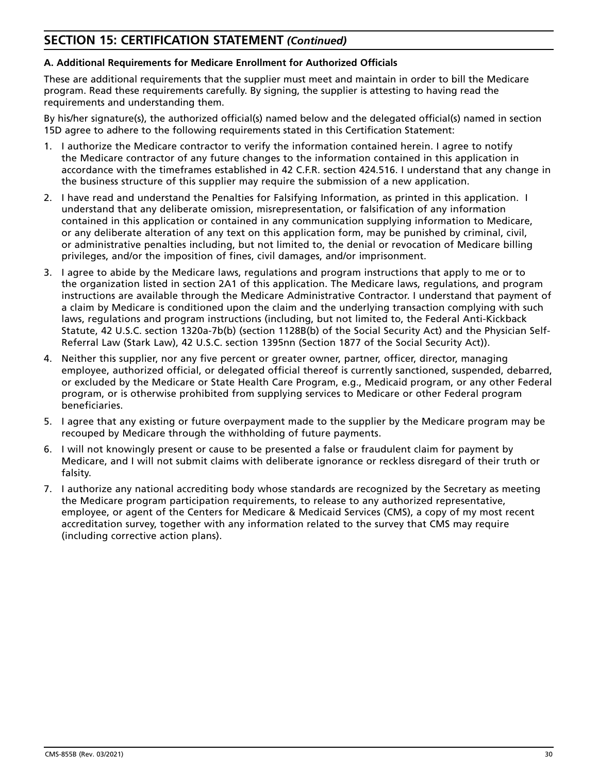# **SECTION 15: CERTIFICATION STATEMENT** *(Continued)*

### **A. Additional Requirements for Medicare Enrollment for Authorized Officials**

These are additional requirements that the supplier must meet and maintain in order to bill the Medicare program. Read these requirements carefully. By signing, the supplier is attesting to having read the requirements and understanding them.

By his/her signature(s), the authorized official(s) named below and the delegated official(s) named in section 15D agree to adhere to the following requirements stated in this Certification Statement:

- 1. I authorize the Medicare contractor to verify the information contained herein. I agree to notify the Medicare contractor of any future changes to the information contained in this application in accordance with the timeframes established in 42 C.F.R. section 424.516. I understand that any change in the business structure of this supplier may require the submission of a new application.
- 2. I have read and understand the Penalties for Falsifying Information, as printed in this application. I understand that any deliberate omission, misrepresentation, or falsification of any information contained in this application or contained in any communication supplying information to Medicare, or any deliberate alteration of any text on this application form, may be punished by criminal, civil, or administrative penalties including, but not limited to, the denial or revocation of Medicare billing privileges, and/or the imposition of fines, civil damages, and/or imprisonment.
- 3. I agree to abide by the Medicare laws, regulations and program instructions that apply to me or to the organization listed in section 2A1 of this application. The Medicare laws, regulations, and program instructions are available through the Medicare Administrative Contractor. I understand that payment of a claim by Medicare is conditioned upon the claim and the underlying transaction complying with such laws, regulations and program instructions (including, but not limited to, the Federal Anti-Kickback Statute, 42 U.S.C. section 1320a-7b(b) (section 1128B(b) of the Social Security Act) and the Physician Self-Referral Law (Stark Law), 42 U.S.C. section 1395nn (Section 1877 of the Social Security Act)).
- 4. Neither this supplier, nor any five percent or greater owner, partner, officer, director, managing employee, authorized official, or delegated official thereof is currently sanctioned, suspended, debarred, or excluded by the Medicare or State Health Care Program, e.g., Medicaid program, or any other Federal program, or is otherwise prohibited from supplying services to Medicare or other Federal program beneficiaries.
- 5. I agree that any existing or future overpayment made to the supplier by the Medicare program may be recouped by Medicare through the withholding of future payments.
- 6. I will not knowingly present or cause to be presented a false or fraudulent claim for payment by Medicare, and I will not submit claims with deliberate ignorance or reckless disregard of their truth or falsity.
- 7. I authorize any national accrediting body whose standards are recognized by the Secretary as meeting the Medicare program participation requirements, to release to any authorized representative, employee, or agent of the Centers for Medicare & Medicaid Services (CMS), a copy of my most recent accreditation survey, together with any information related to the survey that CMS may require (including corrective action plans).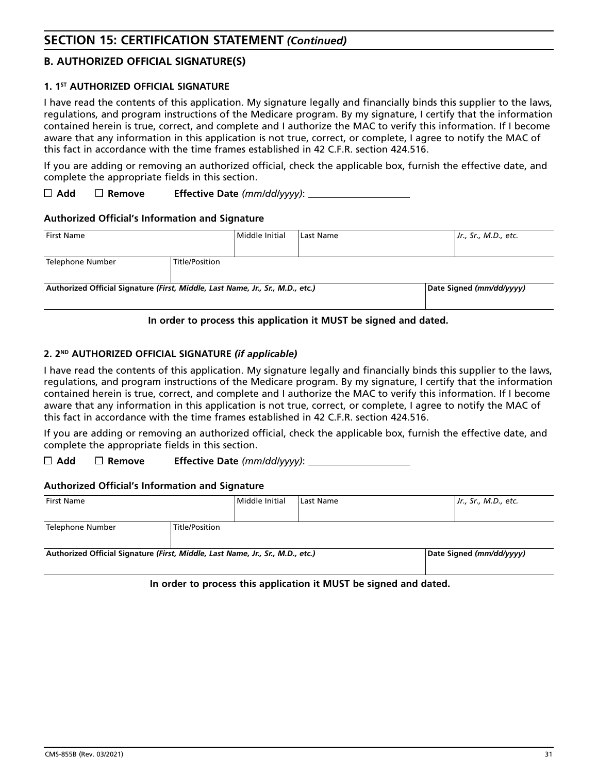## **B. AUTHORIZED OFFICIAL SIGNATURE(S)**

### **1. 1ST AUTHORIZED OFFICIAL SIGNATURE**

I have read the contents of this application. My signature legally and financially binds this supplier to the laws, regulations, and program instructions of the Medicare program. By my signature, I certify that the information contained herein is true, correct, and complete and I authorize the MAC to verify this information. If I become aware that any information in this application is not true, correct, or complete, I agree to notify the MAC of this fact in accordance with the time frames established in 42 C.F.R. section 424.516.

If you are adding or removing an authorized official, check the applicable box, furnish the effective date, and complete the appropriate fields in this section.

**Add Remove Effective Date** *(mm/dd/yyyy)*:

### **Authorized Official's Information and Signature**

| <b>First Name</b>                                                              |                | l Middle Initial | Last Name | Jr., Sr., M.D., etc.     |
|--------------------------------------------------------------------------------|----------------|------------------|-----------|--------------------------|
| Telephone Number                                                               | Title/Position |                  |           |                          |
| Authorized Official Signature (First, Middle, Last Name, Jr., Sr., M.D., etc.) |                |                  |           | Date Signed (mm/dd/yyyy) |

### **In order to process this application it MUST be signed and dated.**

### **2. 2ND AUTHORIZED OFFICIAL SIGNATURE** *(if applicable)*

I have read the contents of this application. My signature legally and financially binds this supplier to the laws, regulations, and program instructions of the Medicare program. By my signature, I certify that the information contained herein is true, correct, and complete and I authorize the MAC to verify this information. If I become aware that any information in this application is not true, correct, or complete, I agree to notify the MAC of this fact in accordance with the time frames established in 42 C.F.R. section 424.516.

If you are adding or removing an authorized official, check the applicable box, furnish the effective date, and complete the appropriate fields in this section.

**Add Remove Effective Date** *(mm/dd/yyyy)*:

#### **Authorized Official's Information and Signature**

| First Name                                                                     |                | Middle Initial | Last Name | Jr., Sr., M.D., etc.     |
|--------------------------------------------------------------------------------|----------------|----------------|-----------|--------------------------|
| Telephone Number                                                               | Title/Position |                |           |                          |
| Authorized Official Signature (First, Middle, Last Name, Jr., Sr., M.D., etc.) |                |                |           | Date Signed (mm/dd/yyyy) |

**In order to process this application it MUST be signed and dated.**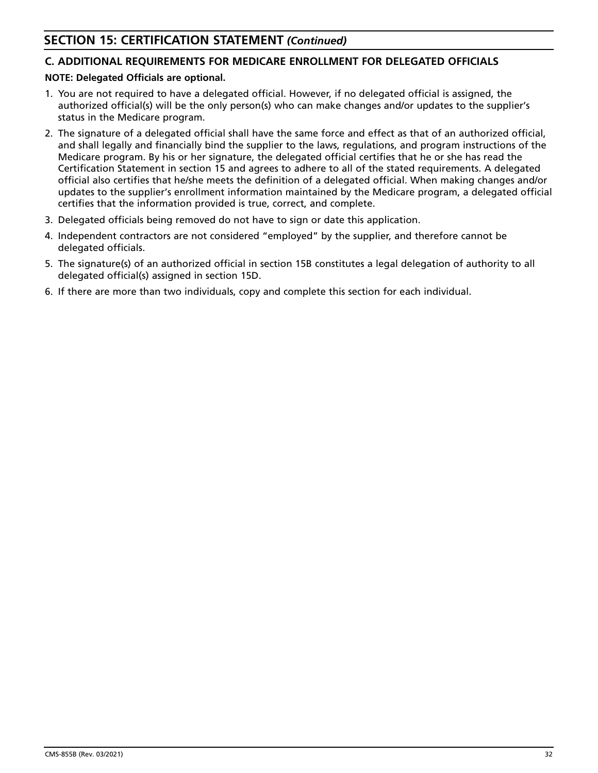# **SECTION 15: CERTIFICATION STATEMENT** *(Continued)*

# **C. ADDITIONAL REQUIREMENTS FOR MEDICARE ENROLLMENT FOR DELEGATED OFFICIALS**

### **NOTE: Delegated Officials are optional.**

- 1. You are not required to have a delegated official. However, if no delegated official is assigned, the authorized official(s) will be the only person(s) who can make changes and/or updates to the supplier's status in the Medicare program.
- 2. The signature of a delegated official shall have the same force and effect as that of an authorized official, and shall legally and financially bind the supplier to the laws, regulations, and program instructions of the Medicare program. By his or her signature, the delegated official certifies that he or she has read the Certification Statement in section 15 and agrees to adhere to all of the stated requirements. A delegated official also certifies that he/she meets the definition of a delegated official. When making changes and/or updates to the supplier's enrollment information maintained by the Medicare program, a delegated official certifies that the information provided is true, correct, and complete.
- 3. Delegated officials being removed do not have to sign or date this application.
- 4. Independent contractors are not considered "employed" by the supplier, and therefore cannot be delegated officials.
- 5. The signature(s) of an authorized official in section 15B constitutes a legal delegation of authority to all delegated official(s) assigned in section 15D.
- 6. If there are more than two individuals, copy and complete this section for each individual.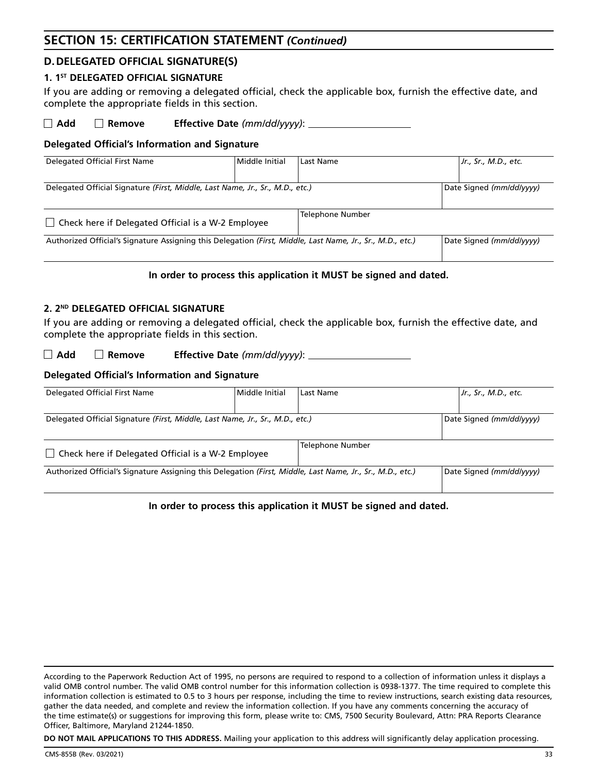# **SECTION 15: CERTIFICATION STATEMENT** *(Continued)*

# **D. DELEGATED OFFICIAL SIGNATURE(S)**

#### 1. 1<sup>ST</sup> DELEGATED OFFICIAL SIGNATURE

If you are adding or removing a delegated official, check the applicable box, furnish the effective date, and complete the appropriate fields in this section.

**Add Remove Effective Date** *(mm/dd/yyyy)*:

### **Delegated Official's Information and Signature**

| Delegated Official First Name                                                                              | Middle Initial | Last Name                | Jr., Sr., M.D., etc.     |
|------------------------------------------------------------------------------------------------------------|----------------|--------------------------|--------------------------|
|                                                                                                            |                |                          |                          |
| Delegated Official Signature (First, Middle, Last Name, Jr., Sr., M.D., etc.)                              |                | Date Signed (mm/dd/vvvv) |                          |
|                                                                                                            |                |                          |                          |
| $\Box$ Check here if Delegated Official is a W-2 Employee                                                  |                | Telephone Number         |                          |
| Authorized Official's Signature Assigning this Delegation (First, Middle, Last Name, Jr., Sr., M.D., etc.) |                |                          | Date Signed (mm/dd/vvvv) |
|                                                                                                            |                |                          |                          |

### **In order to process this application it MUST be signed and dated.**

#### **2. 2ND DELEGATED OFFICIAL SIGNATURE**

If you are adding or removing a delegated official, check the applicable box, furnish the effective date, and complete the appropriate fields in this section.

**Add Remove Effective Date** *(mm/dd/yyyy)*:

### **Delegated Official's Information and Signature**

| Delegated Official First Name                                                                              | Middle Initial | Last Name                |  | Jr., Sr., M.D., etc.     |
|------------------------------------------------------------------------------------------------------------|----------------|--------------------------|--|--------------------------|
|                                                                                                            |                |                          |  |                          |
| Delegated Official Signature (First, Middle, Last Name, Jr., Sr., M.D., etc.)                              |                | Date Signed (mm/dd/yyyy) |  |                          |
|                                                                                                            |                |                          |  |                          |
| $\Box$ Check here if Delegated Official is a W-2 Employee                                                  |                | <b>Telephone Number</b>  |  |                          |
| Authorized Official's Signature Assigning this Delegation (First, Middle, Last Name, Jr., Sr., M.D., etc.) |                |                          |  | Date Signed (mm/dd/vvvv) |

#### **In order to process this application it MUST be signed and dated.**

**DO NOT MAIL APPLICATIONS TO THIS ADDRESS.** Mailing your application to this address will significantly delay application processing.

According to the Paperwork Reduction Act of 1995, no persons are required to respond to a collection of information unless it displays a valid OMB control number. The valid OMB control number for this information collection is 0938 -1377. The time required to complete this information collection is estimated to 0.5 to 3 hours per response, including the time to review instructions, search existing data resources, gather the data needed, and complete and review the information collection. If you have any comments concerning the accuracy of the time estimate(s) or suggestions for improving this form, please write to: CMS, 7500 Security Boulevard, Attn: PRA Reports Clearance Officer, Baltimore, Maryland 21244-1850.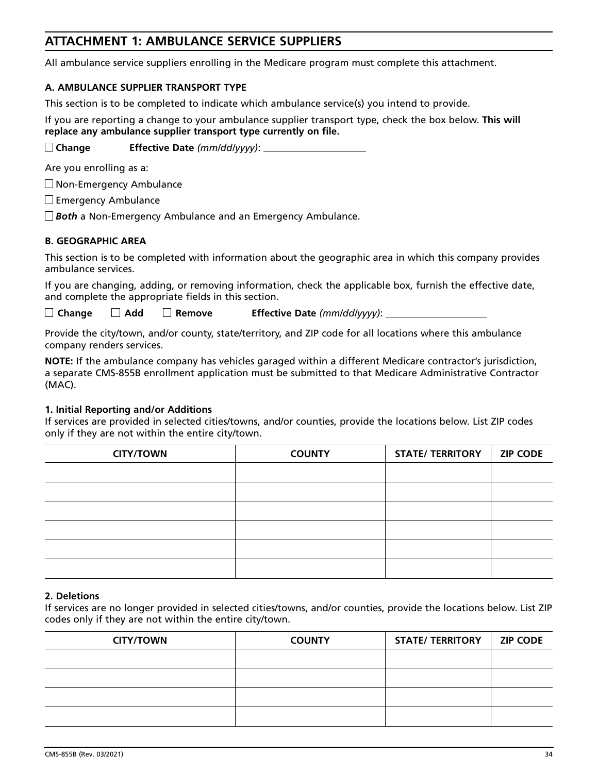# **ATTACHMENT 1: AMBULANCE SERVICE SUPPLIERS**

All ambulance service suppliers enrolling in the Medicare program must complete this attachment.

### **A. AMBULANCE SUPPLIER TRANSPORT TYPE**

This section is to be completed to indicate which ambulance service(s) you intend to provide.

If you are reporting a change to your ambulance supplier transport type, check the box below. **This will replace any ambulance supplier transport type currently on file.**

**Change Effective Date** *(mm/dd/yyyy)*:

Are you enrolling as a:

Non-Emergency Ambulance

Emergency Ambulance

*Both* a Non-Emergency Ambulance and an Emergency Ambulance.

### **B. GEOGRAPHIC AREA**

This section is to be completed with information about the geographic area in which this company provides ambulance services.

If you are changing, adding, or removing information, check the applicable box, furnish the effective date, and complete the appropriate fields in this section.

**Change Add Remove Effective Date** *(mm/dd/yyyy)*:

Provide the city/town, and/or county, state/territory, and ZIP code for all locations where this ambulance company renders services.

**NOTE:** If the ambulance company has vehicles garaged within a different Medicare contractor's jurisdiction, a separate CMS-855B enrollment application must be submitted to that Medicare Administrative Contractor (MAC).

#### **1. Initial Reporting and/or Additions**

If services are provided in selected cities/towns, and/or counties, provide the locations below. List ZIP codes only if they are not within the entire city/town.

| <b>CITY/TOWN</b> | <b>COUNTY</b> | <b>STATE/ TERRITORY</b> | <b>ZIP CODE</b> |
|------------------|---------------|-------------------------|-----------------|
|                  |               |                         |                 |
|                  |               |                         |                 |
|                  |               |                         |                 |
|                  |               |                         |                 |
|                  |               |                         |                 |
|                  |               |                         |                 |

#### **2. Deletions**

If services are no longer provided in selected cities/towns, and/or counties, provide the locations below. List ZIP codes only if they are not within the entire city/town.

| <b>CITY/TOWN</b> | <b>COUNTY</b> | <b>STATE/ TERRITORY</b> | <b>ZIP CODE</b> |
|------------------|---------------|-------------------------|-----------------|
|                  |               |                         |                 |
|                  |               |                         |                 |
|                  |               |                         |                 |
|                  |               |                         |                 |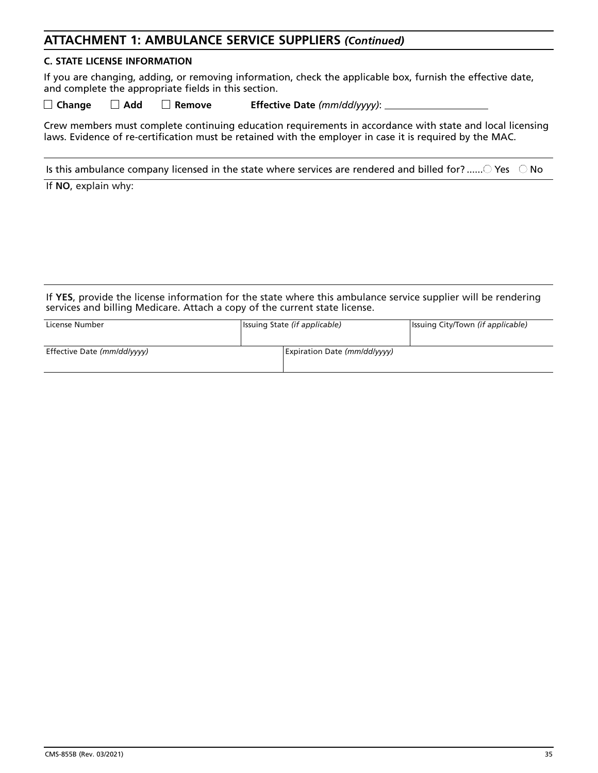# **ATTACHMENT 1: AMBULANCE SERVICE SUPPLIERS** *(Continued)*

#### **C. STATE LICENSE INFORMATION**

If you are changing, adding, or removing information, check the applicable box, furnish the effective date, and complete the appropriate fields in this section.

**Change Add Remove Effective Date** *(mm/dd/yyyy)*:

Crew members must complete continuing education requirements in accordance with state and local licensing laws. Evidence of re-certification must be retained with the employer in case it is required by the MAC.

Is this ambulance company licensed in the state where services are rendered and billed for? ...... $\bigcirc$  Yes  $\bigcirc$  No

If **NO**, explain why:

If **YES**, provide the license information for the state where this ambulance service supplier will be rendering services and billing Medicare. Attach a copy of the current state license.

| License Number              | Issuing State (if applicable) |                              | Issuing City/Town (if applicable) |
|-----------------------------|-------------------------------|------------------------------|-----------------------------------|
| Effective Date (mm/dd/yyyy) |                               | Expiration Date (mm/dd/yyyy) |                                   |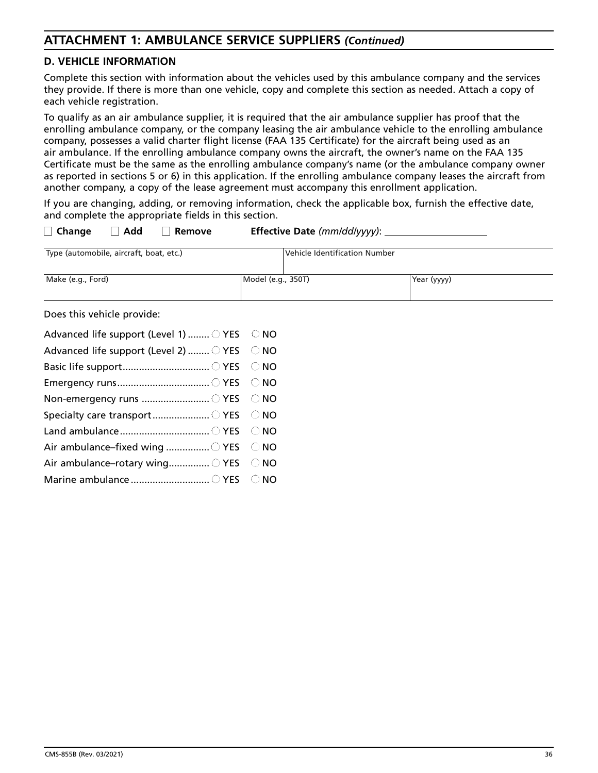# **ATTACHMENT 1: AMBULANCE SERVICE SUPPLIERS** *(Continued)*

### **D. VEHICLE INFORMATION**

Complete this section with information about the vehicles used by this ambulance company and the services they provide. If there is more than one vehicle, copy and complete this section as needed. Attach a copy of each vehicle registration.

To qualify as an air ambulance supplier, it is required that the air ambulance supplier has proof that the enrolling ambulance company, or the company leasing the air ambulance vehicle to the enrolling ambulance company, possesses a valid charter flight license (FAA 135 Certificate) for the aircraft being used as an air ambulance. If the enrolling ambulance company owns the aircraft, the owner's name on the FAA 135 Certificate must be the same as the enrolling ambulance company's name (or the ambulance company owner as reported in sections 5 or 6) in this application. If the enrolling ambulance company leases the aircraft from another company, a copy of the lease agreement must accompany this enrollment application.

If you are changing, adding, or removing information, check the applicable box, furnish the effective date, and complete the appropriate fields in this section.

| $\Box$ Change                           | Add | Remove |                    | Effective Date $(mm/dd/\gamma\gamma\gamma)$ : _____ |             |  |
|-----------------------------------------|-----|--------|--------------------|-----------------------------------------------------|-------------|--|
| Type (automobile, aircraft, boat, etc.) |     |        |                    | Vehicle Identification Number                       |             |  |
| Make (e.g., Ford)                       |     |        | Model (e.g., 350T) |                                                     | Year (yyyy) |  |
| Does this vehicle provide:              |     |        |                    |                                                     |             |  |

es triis veriitie provide

| Advanced life support (Level 1)  O YES O NO |  |
|---------------------------------------------|--|
| Advanced life support (Level 2)  ○ YES ○ NO |  |
|                                             |  |
|                                             |  |
| Non-emergency runs ○ YES ○ NO               |  |
|                                             |  |
|                                             |  |
| Air ambulance-fixed wing  O YES O NO        |  |
| Air ambulance-rotary wing VES ONO           |  |
|                                             |  |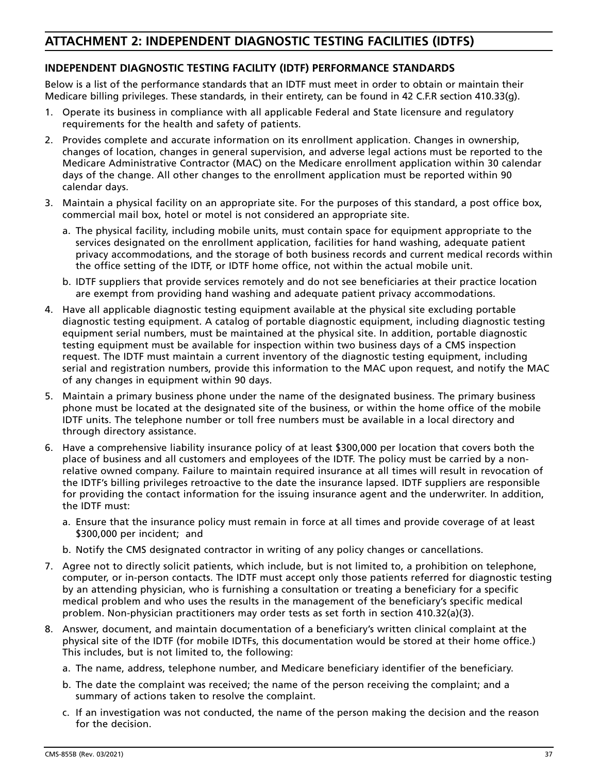### **INDEPENDENT DIAGNOSTIC TESTING FACILITY (IDTF) PERFORMANCE STANDARDS**

Below is a list of the performance standards that an IDTF must meet in order to obtain or maintain their Medicare billing privileges. These standards, in their entirety, can be found in 42 C.F.R section 410.33(g).

- 1. Operate its business in compliance with all applicable Federal and State licensure and regulatory requirements for the health and safety of patients.
- 2. Provides complete and accurate information on its enrollment application. Changes in ownership, changes of location, changes in general supervision, and adverse legal actions must be reported to the Medicare Administrative Contractor (MAC) on the Medicare enrollment application within 30 calendar days of the change. All other changes to the enrollment application must be reported within 90 calendar days.
- 3. Maintain a physical facility on an appropriate site. For the purposes of this standard, a post office box, commercial mail box, hotel or motel is not considered an appropriate site.
	- a. The physical facility, including mobile units, must contain space for equipment appropriate to the services designated on the enrollment application, facilities for hand washing, adequate patient privacy accommodations, and the storage of both business records and current medical records within the office setting of the IDTF, or IDTF home office, not within the actual mobile unit.
	- b. IDTF suppliers that provide services remotely and do not see beneficiaries at their practice location are exempt from providing hand washing and adequate patient privacy accommodations.
- 4. Have all applicable diagnostic testing equipment available at the physical site excluding portable diagnostic testing equipment. A catalog of portable diagnostic equipment, including diagnostic testing equipment serial numbers, must be maintained at the physical site. In addition, portable diagnostic testing equipment must be available for inspection within two business days of a CMS inspection request. The IDTF must maintain a current inventory of the diagnostic testing equipment, including serial and registration numbers, provide this information to the MAC upon request, and notify the MAC of any changes in equipment within 90 days.
- 5. Maintain a primary business phone under the name of the designated business. The primary business phone must be located at the designated site of the business, or within the home office of the mobile IDTF units. The telephone number or toll free numbers must be available in a local directory and through directory assistance.
- 6. Have a comprehensive liability insurance policy of at least \$300,000 per location that covers both the place of business and all customers and employees of the IDTF. The policy must be carried by a nonrelative owned company. Failure to maintain required insurance at all times will result in revocation of the IDTF's billing privileges retroactive to the date the insurance lapsed. IDTF suppliers are responsible for providing the contact information for the issuing insurance agent and the underwriter. In addition, the IDTF must:
	- a. Ensure that the insurance policy must remain in force at all times and provide coverage of at least \$300,000 per incident; and
	- b. Notify the CMS designated contractor in writing of any policy changes or cancellations.
- 7. Agree not to directly solicit patients, which include, but is not limited to, a prohibition on telephone, computer, or in-person contacts. The IDTF must accept only those patients referred for diagnostic testing by an attending physician, who is furnishing a consultation or treating a beneficiary for a specific medical problem and who uses the results in the management of the beneficiary's specific medical problem. Non-physician practitioners may order tests as set forth in section 410.32(a)(3).
- 8. Answer, document, and maintain documentation of a beneficiary's written clinical complaint at the physical site of the IDTF (for mobile IDTFs, this documentation would be stored at their home office.) This includes, but is not limited to, the following:
	- a. The name, address, telephone number, and Medicare beneficiary identifier of the beneficiary.
	- b. The date the complaint was received; the name of the person receiving the complaint; and a summary of actions taken to resolve the complaint.
	- c. If an investigation was not conducted, the name of the person making the decision and the reason for the decision.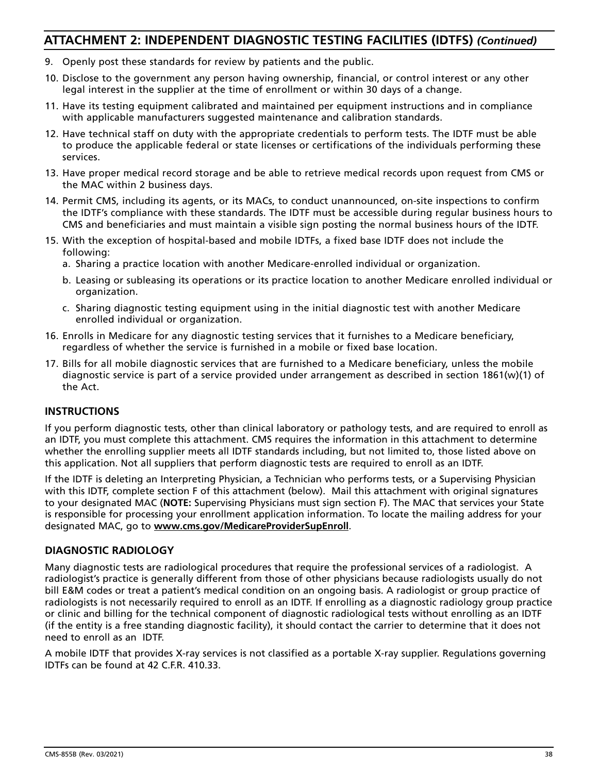- 9. Openly post these standards for review by patients and the public.
- 10. Disclose to the government any person having ownership, financial, or control interest or any other legal interest in the supplier at the time of enrollment or within 30 days of a change.
- 11. Have its testing equipment calibrated and maintained per equipment instructions and in compliance with applicable manufacturers suggested maintenance and calibration standards.
- 12. Have technical staff on duty with the appropriate credentials to perform tests. The IDTF must be able to produce the applicable federal or state licenses or certifications of the individuals performing these services.
- 13. Have proper medical record storage and be able to retrieve medical records upon request from CMS or the MAC within 2 business days.
- 14. Permit CMS, including its agents, or its MACs, to conduct unannounced, on-site inspections to confirm the IDTF's compliance with these standards. The IDTF must be accessible during regular business hours to CMS and beneficiaries and must maintain a visible sign posting the normal business hours of the IDTF.
- 15. With the exception of hospital-based and mobile IDTFs, a fixed base IDTF does not include the following:
	- a. Sharing a practice location with another Medicare-enrolled individual or organization.
	- b. Leasing or subleasing its operations or its practice location to another Medicare enrolled individual or organization.
	- c. Sharing diagnostic testing equipment using in the initial diagnostic test with another Medicare enrolled individual or organization.
- 16. Enrolls in Medicare for any diagnostic testing services that it furnishes to a Medicare beneficiary, regardless of whether the service is furnished in a mobile or fixed base location.
- 17. Bills for all mobile diagnostic services that are furnished to a Medicare beneficiary, unless the mobile diagnostic service is part of a service provided under arrangement as described in section 1861(w)(1) of the Act.

### **INSTRUCTIONS**

If you perform diagnostic tests, other than clinical laboratory or pathology tests, and are required to enroll as an IDTF, you must complete this attachment. CMS requires the information in this attachment to determine whether the enrolling supplier meets all IDTF standards including, but not limited to, those listed above on this application. Not all suppliers that perform diagnostic tests are required to enroll as an IDTF.

If the IDTF is deleting an Interpreting Physician, a Technician who performs tests, or a Supervising Physician with this IDTF, complete section F of this attachment (below). Mail this attachment with original signatures to your designated MAC (**NOTE:** Supervising Physicians must sign section F). The MAC that services your State is responsible for processing your enrollment application information. To locate the mailing address for your designated MAC, go to **[www.cms.gov/MedicareProviderSupEnroll](http://www.www.cms.gov/MedicareProviderSupEnroll)**.

#### **DIAGNOSTIC RADIOLOGY**

Many diagnostic tests are radiological procedures that require the professional services of a radiologist. A radiologist's practice is generally different from those of other physicians because radiologists usually do not bill E&M codes or treat a patient's medical condition on an ongoing basis. A radiologist or group practice of radiologists is not necessarily required to enroll as an IDTF. If enrolling as a diagnostic radiology group practice or clinic and billing for the technical component of diagnostic radiological tests without enrolling as an IDTF (if the entity is a free standing diagnostic facility), it should contact the carrier to determine that it does not need to enroll as an IDTF.

A mobile IDTF that provides X-ray services is not classified as a portable X-ray supplier. Regulations governing IDTFs can be found at 42 C.F.R. 410.33.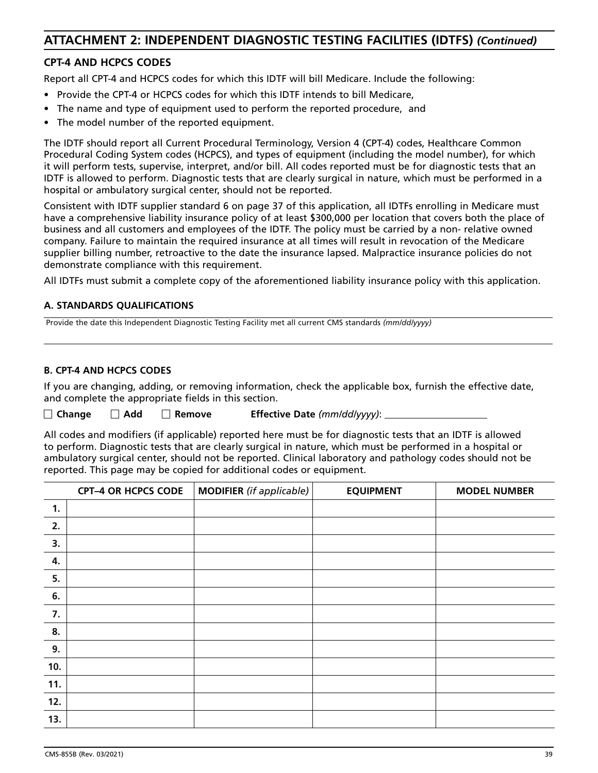### **CPT-4 AND HCPCS CODES**

Report all CPT-4 and HCPCS codes for which this IDTF will bill Medicare. Include the following:

- Provide the CPT-4 or HCPCS codes for which this IDTF intends to bill Medicare,
- The name and type of equipment used to perform the reported procedure, and
- The model number of the reported equipment.

The IDTF should report all Current Procedural Terminology, Version 4 (CPT-4) codes, Healthcare Common Procedural Coding System codes (HCPCS), and types of equipment (including the model number), for which it will perform tests, supervise, interpret, and/or bill. All codes reported must be for diagnostic tests that an IDTF is allowed to perform. Diagnostic tests that are clearly surgical in nature, which must be performed in a hospital or ambulatory surgical center, should not be reported.

Consistent with IDTF supplier standard 6 on page 37 of this application, all IDTFs enrolling in Medicare must have a comprehensive liability insurance policy of at least \$300,000 per location that covers both the place of business and all customers and employees of the IDTF. The policy must be carried by a non- relative owned company. Failure to maintain the required insurance at all times will result in revocation of the Medicare supplier billing number, retroactive to the date the insurance lapsed. Malpractice insurance policies do not demonstrate compliance with this requirement.

All IDTFs must submit a complete copy of the aforementioned liability insurance policy with this application.

#### **A. STANDARDS QUALIFICATIONS**

Provide the date this Independent Diagnostic Testing Facility met all current CMS standards *(mm/dd/yyyy)*

#### **B. CPT-4 AND HCPCS CODES**

If you are changing, adding, or removing information, check the applicable box, furnish the effective date, and complete the appropriate fields in this section.

**Change Add Remove Effective Date** *(mm/dd/yyyy)*:

All codes and modifiers (if applicable) reported here must be for diagnostic tests that an IDTF is allowed to perform. Diagnostic tests that are clearly surgical in nature, which must be performed in a hospital or ambulatory surgical center, should not be reported. Clinical laboratory and pathology codes should not be reported. This page may be copied for additional codes or equipment.

|     | <b>CPT-4 OR HCPCS CODE</b> | <b>MODIFIER</b> (if applicable) | <b>EQUIPMENT</b> | <b>MODEL NUMBER</b> |
|-----|----------------------------|---------------------------------|------------------|---------------------|
| 1.  |                            |                                 |                  |                     |
| 2.  |                            |                                 |                  |                     |
| 3.  |                            |                                 |                  |                     |
| 4.  |                            |                                 |                  |                     |
| 5.  |                            |                                 |                  |                     |
| 6.  |                            |                                 |                  |                     |
| 7.  |                            |                                 |                  |                     |
| 8.  |                            |                                 |                  |                     |
| 9.  |                            |                                 |                  |                     |
| 10. |                            |                                 |                  |                     |
| 11. |                            |                                 |                  |                     |
| 12. |                            |                                 |                  |                     |
| 13. |                            |                                 |                  |                     |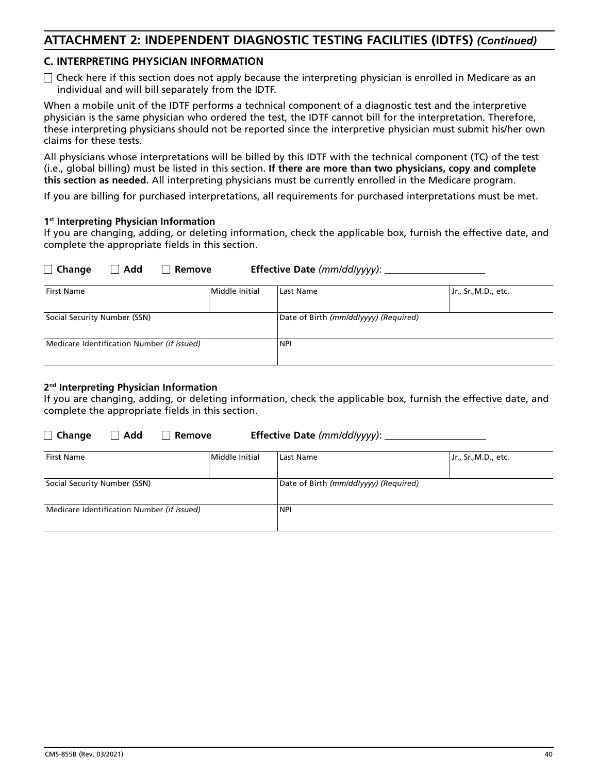### **C. INTERPRETING PHYSICIAN INFORMATION**

 $\Box$  Check here if this section does not apply because the interpreting physician is enrolled in Medicare as an individual and will bill separately from the IDTF.

When a mobile unit of the IDTF performs a technical component of a diagnostic test and the interpretive physician is the same physician who ordered the test, the IDTF cannot bill for the interpretation. Therefore, these interpreting physicians should not be reported since the interpretive physician must submit his/her own claims for these tests.

All physicians whose interpretations will be billed by this IDTF with the technical component (TC) of the test (i.e., global billing) must be listed in this section. **If there are more than two physicians, copy and complete this section as needed.** All interpreting physicians must be currently enrolled in the Medicare program.

If you are billing for purchased interpretations, all requirements for purchased interpretations must be met.

#### **1st Interpreting Physician Information**

If you are changing, adding, or deleting information, check the applicable box, furnish the effective date, and complete the appropriate fields in this section.

| <b>First Name</b>                          | Middle Initial | Last Name                             | Jr., Sr., M.D., etc. |
|--------------------------------------------|----------------|---------------------------------------|----------------------|
| Social Security Number (SSN)               |                | Date of Birth (mm/dd/yyyy) (Required) |                      |
| Medicare Identification Number (if issued) |                | <b>NPI</b>                            |                      |
|                                            |                |                                       |                      |

#### **2nd Interpreting Physician Information**

If you are changing, adding, or deleting information, check the applicable box, furnish the effective date, and complete the appropriate fields in this section.

**Change Add Remove Effective Date** *(mm/dd/yyyy)*:

**Change Add Remove Effective Date** *(mm/dd/yyyy)*:

| <b>First Name</b>                          | Middle Initial | Last Name                             | Jr., Sr., M.D., etc. |  |
|--------------------------------------------|----------------|---------------------------------------|----------------------|--|
| Social Security Number (SSN)               |                | Date of Birth (mm/dd/yyyy) (Required) |                      |  |
| Medicare Identification Number (if issued) |                | <b>NPI</b>                            |                      |  |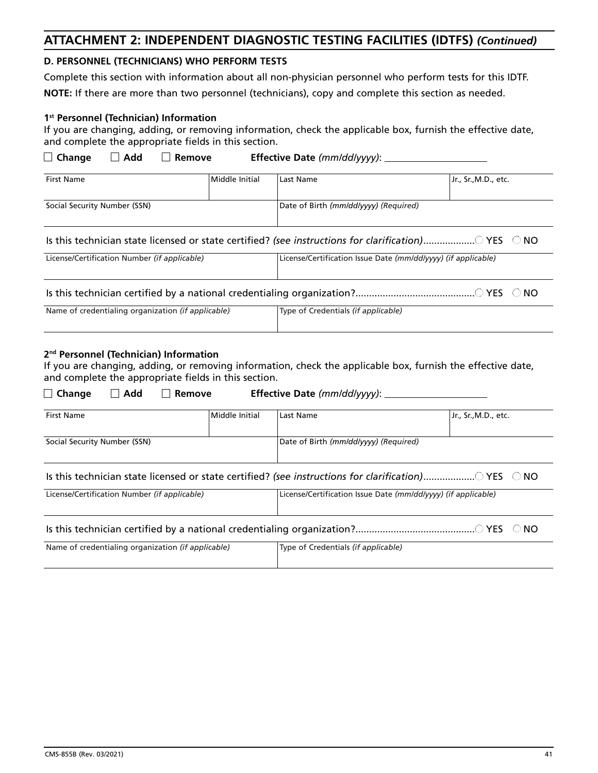#### **D. PERSONNEL (TECHNICIANS) WHO PERFORM TESTS**

Complete this section with information about all non-physician personnel who perform tests for this IDTF.

**NOTE:** If there are more than two personnel (technicians), copy and complete this section as needed.

#### **1st Personnel (Technician) Information**

If you are changing, adding, or removing information, check the applicable box, furnish the effective date, and complete the appropriate fields in this section.

| $\lrcorner$ Change | $\Box$ Add | Remove | Effective Date (mm/dd/yyyy): |
|--------------------|------------|--------|------------------------------|
|--------------------|------------|--------|------------------------------|

| <b>First Name</b>            | Middle Initial | Last Name                             | Jr., Sr.,M.D., etc. |
|------------------------------|----------------|---------------------------------------|---------------------|
| Social Security Number (SSN) |                | Date of Birth (mm/dd/yyyy) (Required) |                     |

### Is this technician state licensed or state certified? (see instructions for clarification) ..................... YES ONO

| License/Certification Number (if applicable) | License/Certification Issue Date (mm/dd/yyyy) (if applicable) |
|----------------------------------------------|---------------------------------------------------------------|
|                                              |                                                               |

Is this technician certified by a national credentialing organization? ............................................ YES NO

| Name of credentialing organization (if applicable) | Type of Credentials (if applicable) |
|----------------------------------------------------|-------------------------------------|
|                                                    |                                     |

#### **2nd Personnel (Technician) Information**

If you are changing, adding, or removing information, check the applicable box, furnish the effective date, and complete the appropriate fields in this section.

| Add<br>Change<br>Remove                                                                                          |                | <b>Effective Date (mm/dd/yyyy):</b>                           |                      |
|------------------------------------------------------------------------------------------------------------------|----------------|---------------------------------------------------------------|----------------------|
| <b>First Name</b>                                                                                                | Middle Initial | Last Name                                                     | Jr., Sr., M.D., etc. |
| Social Security Number (SSN)                                                                                     |                | Date of Birth (mm/dd/vvvv) (Required)                         |                      |
| Is this technician state licensed or state certified? (see instructions for clarification) $\vee$ YES $\circ$ NO |                |                                                               |                      |
| License/Certification Number (if applicable)                                                                     |                | License/Certification Issue Date (mm/dd/vyyy) (if applicable) |                      |
|                                                                                                                  |                |                                                               |                      |
| Name of credentialing organization (if applicable)                                                               |                | Type of Credentials (if applicable)                           |                      |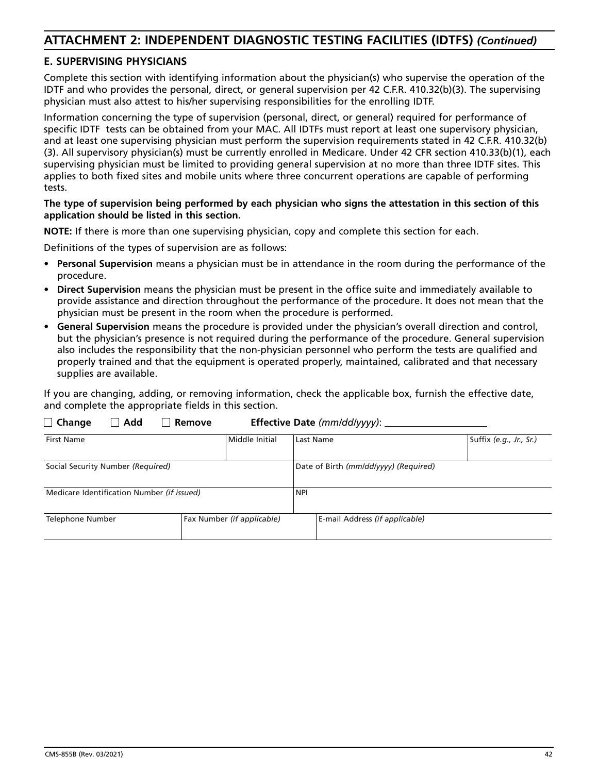### **E. SUPERVISING PHYSICIANS**

Complete this section with identifying information about the physician(s) who supervise the operation of the IDTF and who provides the personal, direct, or general supervision per 42 C.F.R. 410.32(b)(3). The supervising physician must also attest to his/her supervising responsibilities for the enrolling IDTF.

Information concerning the type of supervision (personal, direct, or general) required for performance of specific IDTF tests can be obtained from your MAC. All IDTFs must report at least one supervisory physician, and at least one supervising physician must perform the supervision requirements stated in 42 C.F.R. 410.32(b) (3). All supervisory physician(s) must be currently enrolled in Medicare. Under 42 CFR section 410.33(b)(1), each supervising physician must be limited to providing general supervision at no more than three IDTF sites. This applies to both fixed sites and mobile units where three concurrent operations are capable of performing tests.

#### **The type of supervision being performed by each physician who signs the attestation in this section of this application should be listed in this section.**

**NOTE:** If there is more than one supervising physician, copy and complete this section for each.

Definitions of the types of supervision are as follows:

- **Personal Supervision** means a physician must be in attendance in the room during the performance of the procedure.
- **Direct Supervision** means the physician must be present in the office suite and immediately available to provide assistance and direction throughout the performance of the procedure. It does not mean that the physician must be present in the room when the procedure is performed.
- **General Supervision** means the procedure is provided under the physician's overall direction and control, but the physician's presence is not required during the performance of the procedure. General supervision also includes the responsibility that the non-physician personnel who perform the tests are qualified and properly trained and that the equipment is operated properly, maintained, calibrated and that necessary supplies are available.

If you are changing, adding, or removing information, check the applicable box, furnish the effective date, and complete the appropriate fields in this section.

| <b>First Name</b>                              | Middle Initial | Last Name                             | Suffix (e.g., Jr., Sr.) |  |  |
|------------------------------------------------|----------------|---------------------------------------|-------------------------|--|--|
| Social Security Number (Required)              |                | Date of Birth (mm/dd/yyyy) (Required) |                         |  |  |
| Medicare Identification Number (if issued)     |                | <b>NPI</b>                            |                         |  |  |
| Fax Number (if applicable)<br>Telephone Number |                | E-mail Address (if applicable)        |                         |  |  |

**Change Add Remove Effective Date** *(mm/dd/yyyy)*: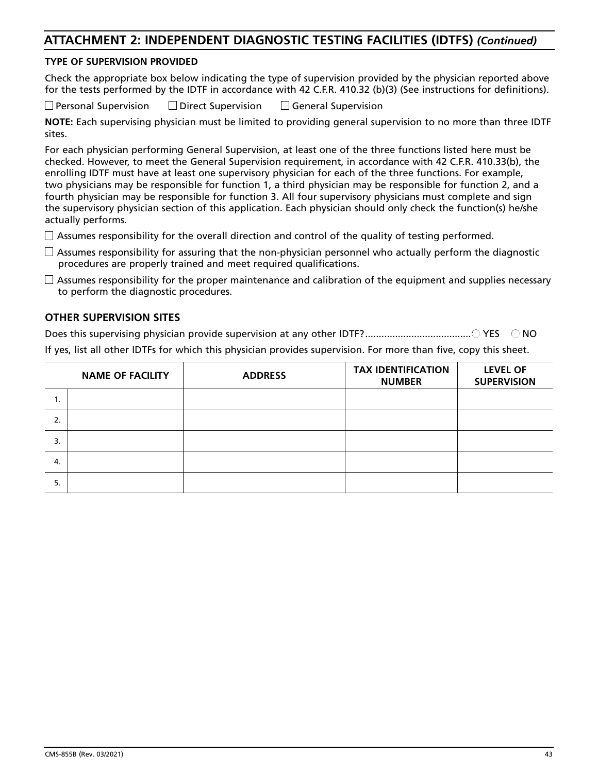### **TYPE OF SUPERVISION PROVIDED**

Check the appropriate box below indicating the type of supervision provided by the physician reported above for the tests performed by the IDTF in accordance with 42 C.F.R. 410.32 (b)(3) (See instructions for definitions).

Personal SupervisionDirect SupervisionGeneral Supervision

**NOTE:** Each supervising physician must be limited to providing general supervision to no more than three IDTF sites.

For each physician performing General Supervision, at least one of the three functions listed here must be checked. However, to meet the General Supervision requirement, in accordance with 42 C.F.R. 410.33(b), the enrolling IDTF must have at least one supervisory physician for each of the three functions. For example, two physicians may be responsible for function 1, a third physician may be responsible for function 2, and a fourth physician may be responsible for function 3. All four supervisory physicians must complete and sign the supervisory physician section of this application. Each physician should only check the function(s) he/she actually performs.

- $\Box$  Assumes responsibility for the overall direction and control of the quality of testing performed.
- $\Box$  Assumes responsibility for assuring that the non-physician personnel who actually perform the diagnostic procedures are properly trained and meet required qualifications.
- $\Box$  Assumes responsibility for the proper maintenance and calibration of the equipment and supplies necessary to perform the diagnostic procedures.

#### **OTHER SUPERVISION SITES**

Does this supervising physician provide supervision at any other IDTF? ....................................... YES NO

If yes, list all other IDTFs for which this physician provides supervision. For more than five, copy this sheet.

|    | <b>NAME OF FACILITY</b> | <b>ADDRESS</b> | <b>TAX IDENTIFICATION</b><br><b>NUMBER</b> | <b>LEVEL OF</b><br><b>SUPERVISION</b> |
|----|-------------------------|----------------|--------------------------------------------|---------------------------------------|
| ., |                         |                |                                            |                                       |
| 2. |                         |                |                                            |                                       |
| 3. |                         |                |                                            |                                       |
| 4. |                         |                |                                            |                                       |
| 5. |                         |                |                                            |                                       |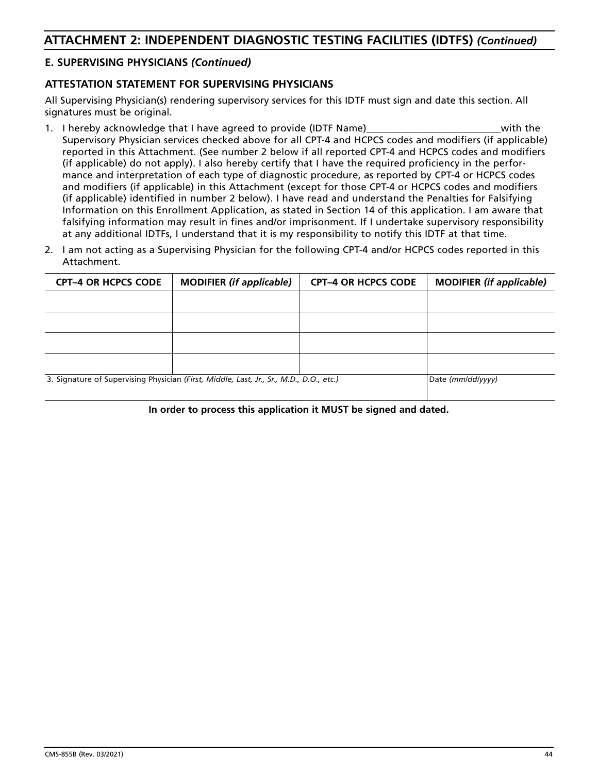### **E. SUPERVISING PHYSICIANS** *(Continued)*

### **ATTESTATION STATEMENT FOR SUPERVISING PHYSICIANS**

All Supervising Physician(s) rendering supervisory services for this IDTF must sign and date this section. All signatures must be original.

- 1. I hereby acknowledge that I have agreed to provide (IDTF Name) exactled the same with the Supervisory Physician services checked above for all CPT-4 and HCPCS codes and modifiers (if applicable) reported in this Attachment. (See number 2 below if all reported CPT-4 and HCPCS codes and modifiers (if applicable) do not apply). I also hereby certify that I have the required proficiency in the performance and interpretation of each type of diagnostic procedure, as reported by CPT-4 or HCPCS codes and modifiers (if applicable) in this Attachment (except for those CPT-4 or HCPCS codes and modifiers (if applicable) identified in number 2 below). I have read and understand the Penalties for Falsifying Information on this Enrollment Application, as stated in Section 14 of this application. I am aware that falsifying information may result in fines and/or imprisonment. If I undertake supervisory responsibility at any additional IDTFs, I understand that it is my responsibility to notify this IDTF at that time.
- 2. I am not acting as a Supervising Physician for the following CPT-4 and/or HCPCS codes reported in this Attachment.

| <b>CPT-4 OR HCPCS CODE</b> | <b>MODIFIER</b> (if applicable)                                                         | <b>CPT-4 OR HCPCS CODE</b> | <b>MODIFIER</b> (if applicable) |
|----------------------------|-----------------------------------------------------------------------------------------|----------------------------|---------------------------------|
|                            |                                                                                         |                            |                                 |
|                            |                                                                                         |                            |                                 |
|                            |                                                                                         |                            |                                 |
|                            |                                                                                         |                            |                                 |
|                            | 3. Signature of Supervising Physician (First, Middle, Last, Jr., Sr., M.D., D.O., etc.) |                            | Date (mm/dd/yyyy)               |

#### **In order to process this application it MUST be signed and dated.**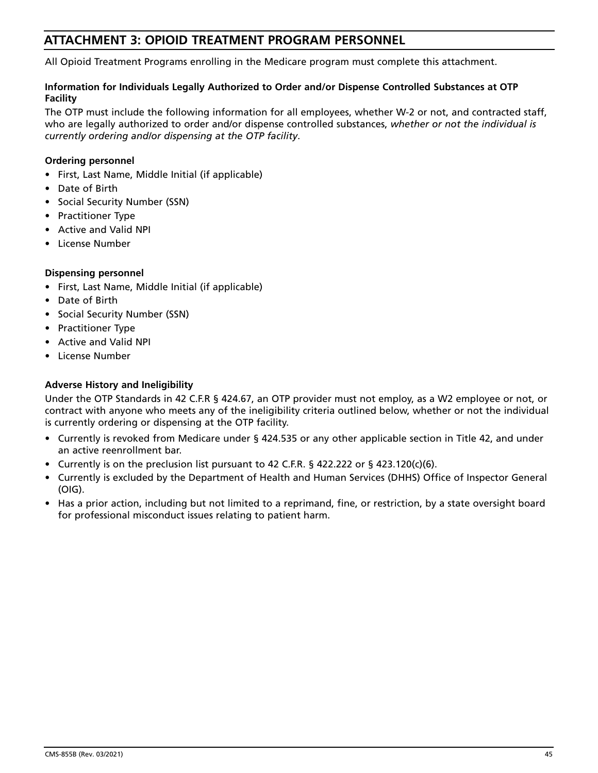# **ATTACHMENT 3: OPIOID TREATMENT PROGRAM PERSONNEL**

All Opioid Treatment Programs enrolling in the Medicare program must complete this attachment.

### **Information for Individuals Legally Authorized to Order and/or Dispense Controlled Substances at OTP Facility**

The OTP must include the following information for all employees, whether W-2 or not, and contracted staff, who are legally authorized to order and/or dispense controlled substances, *whether or not the individual is currently ordering and/or dispensing at the OTP facility*.

### **Ordering personnel**

- First, Last Name, Middle Initial (if applicable)
- Date of Birth
- Social Security Number (SSN)
- Practitioner Type
- Active and Valid NPI
- License Number

### **Dispensing personnel**

- First, Last Name, Middle Initial (if applicable)
- Date of Birth
- Social Security Number (SSN)
- Practitioner Type
- Active and Valid NPI
- License Number

### **Adverse History and Ineligibility**

Under the OTP Standards in 42 C.F.R § 424.67, an OTP provider must not employ, as a W2 employee or not, or contract with anyone who meets any of the ineligibility criteria outlined below, whether or not the individual is currently ordering or dispensing at the OTP facility.

- Currently is revoked from Medicare under § 424.535 or any other applicable section in Title 42, and under an active reenrollment bar.
- Currently is on the preclusion list pursuant to 42 C.F.R. § 422.222 or § 423.120(c)(6).
- Currently is excluded by the Department of Health and Human Services (DHHS) Office of Inspector General (OIG).
- Has a prior action, including but not limited to a reprimand, fine, or restriction, by a state oversight board for professional misconduct issues relating to patient harm.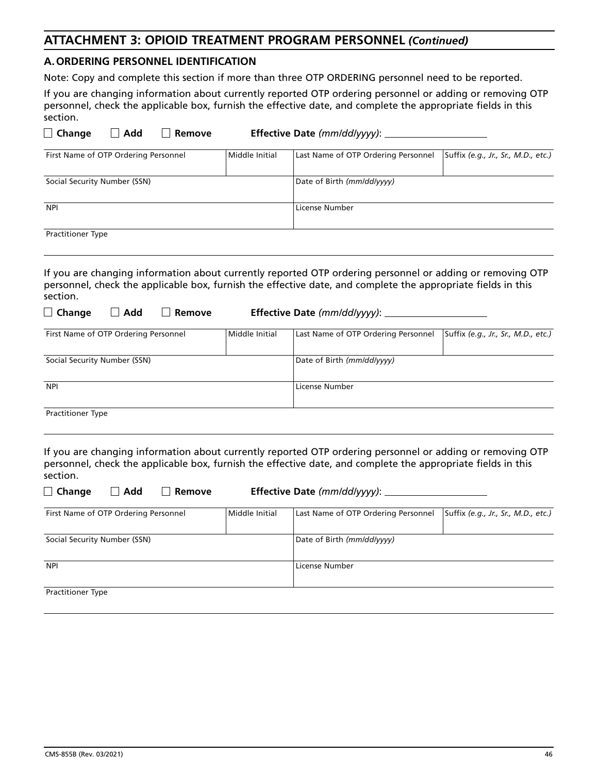# **ATTACHMENT 3: OPIOID TREATMENT PROGRAM PERSONNEL** *(Continued)*

### **A. ORDERING PERSONNEL IDENTIFICATION**

Note: Copy and complete this section if more than three OTP ORDERING personnel need to be reported.

If you are changing information about currently reported OTP ordering personnel or adding or removing OTP personnel, check the applicable box, furnish the effective date, and complete the appropriate fields in this section.

| $\Box$ Change                        | Add | Remove |                | <b>Effective Date (mm/dd/yyyy):</b> |                                     |
|--------------------------------------|-----|--------|----------------|-------------------------------------|-------------------------------------|
| First Name of OTP Ordering Personnel |     |        | Middle Initial | Last Name of OTP Ordering Personnel | Suffix (e.g., Jr., Sr., M.D., etc.) |
| Social Security Number (SSN)         |     |        |                | Date of Birth (mm/dd/yyyy)          |                                     |
| <b>NPI</b>                           |     |        |                | License Number                      |                                     |
| <b>Practitioner Type</b>             |     |        |                |                                     |                                     |

If you are changing information about currently reported OTP ordering personnel or adding or removing OTP personnel, check the applicable box, furnish the effective date, and complete the appropriate fields in this section.

| $\Box$ Change<br>Add<br>Remove       |                | Effective Date (mm/dd/yyyy): ________ |                                     |
|--------------------------------------|----------------|---------------------------------------|-------------------------------------|
| First Name of OTP Ordering Personnel | Middle Initial | Last Name of OTP Ordering Personnel   | Suffix (e.g., Jr., Sr., M.D., etc.) |
| Social Security Number (SSN)         |                | Date of Birth (mm/dd/yyyy)            |                                     |
| <b>NPI</b>                           |                | License Number                        |                                     |
| <b>Practitioner Type</b>             |                |                                       |                                     |

If you are changing information about currently reported OTP ordering personnel or adding or removing OTP personnel, check the applicable box, furnish the effective date, and complete the appropriate fields in this section.

| $\Box$ Change<br>Add<br>Remove       | Effective Date (mm/dd/yyyy): |                                     |                                     |  |  |
|--------------------------------------|------------------------------|-------------------------------------|-------------------------------------|--|--|
| First Name of OTP Ordering Personnel | Middle Initial               | Last Name of OTP Ordering Personnel | Suffix (e.g., Jr., Sr., M.D., etc.) |  |  |
| Social Security Number (SSN)         |                              | Date of Birth (mm/dd/yyyy)          |                                     |  |  |
| <b>NPI</b>                           |                              | License Number                      |                                     |  |  |
| <b>Practitioner Type</b>             |                              |                                     |                                     |  |  |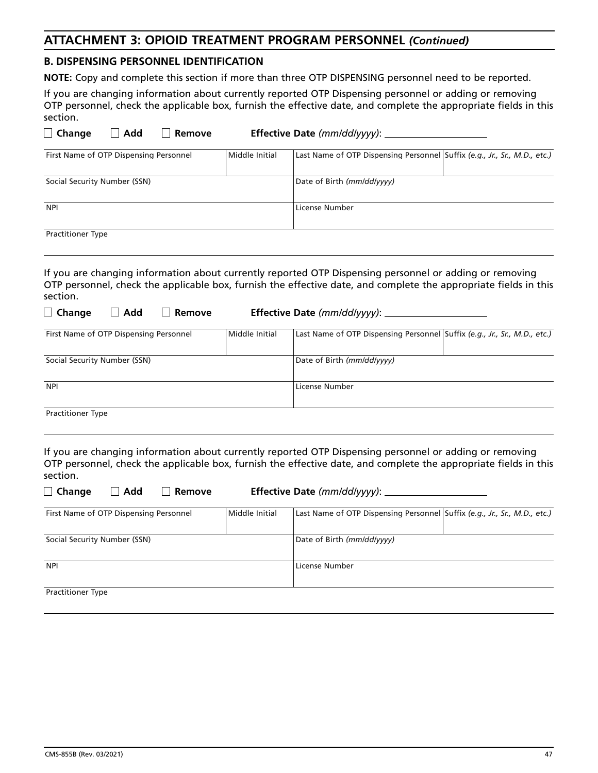# **ATTACHMENT 3: OPIOID TREATMENT PROGRAM PERSONNEL** *(Continued)*

### **B. DISPENSING PERSONNEL IDENTIFICATION**

**NOTE:** Copy and complete this section if more than three OTP DISPENSING personnel need to be reported.

If you are changing information about currently reported OTP Dispensing personnel or adding or removing OTP personnel, check the applicable box, furnish the effective date, and complete the appropriate fields in this section.

| $\Box$ Change                          | Add | Remove |                | <b>Effective Date (mm/dd/yyyy):</b>                                       |  |
|----------------------------------------|-----|--------|----------------|---------------------------------------------------------------------------|--|
| First Name of OTP Dispensing Personnel |     |        | Middle Initial | Last Name of OTP Dispensing Personnel Suffix (e.g., Jr., Sr., M.D., etc.) |  |
| Social Security Number (SSN)           |     |        |                | Date of Birth (mm/dd/yyyy)                                                |  |
| <b>NPI</b>                             |     |        |                | License Number                                                            |  |
| <b>Practitioner Type</b>               |     |        |                |                                                                           |  |

If you are changing information about currently reported OTP Dispensing personnel or adding or removing OTP personnel, check the applicable box, furnish the effective date, and complete the appropriate fields in this section.

| $\Box$ Change                          | Add | Remove | Effective Date (mm/dd/yyyy): ______ |                                                                           |  |  |  |
|----------------------------------------|-----|--------|-------------------------------------|---------------------------------------------------------------------------|--|--|--|
| First Name of OTP Dispensing Personnel |     |        | Middle Initial                      | Last Name of OTP Dispensing Personnel Suffix (e.g., Jr., Sr., M.D., etc.) |  |  |  |
| Social Security Number (SSN)           |     |        |                                     | Date of Birth (mm/dd/yyyy)                                                |  |  |  |
| <b>NPI</b>                             |     |        |                                     | License Number                                                            |  |  |  |
| <b>Practitioner Type</b>               |     |        |                                     |                                                                           |  |  |  |

If you are changing information about currently reported OTP Dispensing personnel or adding or removing OTP personnel, check the applicable box, furnish the effective date, and complete the appropriate fields in this section.

| $\Box$ Change                          | Add | Remove                     | <b>Effective Date (mm/dd/yyyy): ________</b> |                                                                           |  |  |
|----------------------------------------|-----|----------------------------|----------------------------------------------|---------------------------------------------------------------------------|--|--|
| First Name of OTP Dispensing Personnel |     |                            | Middle Initial                               | Last Name of OTP Dispensing Personnel Suffix (e.g., Jr., Sr., M.D., etc.) |  |  |
| Social Security Number (SSN)           |     | Date of Birth (mm/dd/yyyy) |                                              |                                                                           |  |  |
| <b>NPI</b>                             |     | License Number             |                                              |                                                                           |  |  |
| <b>Practitioner Type</b>               |     |                            |                                              |                                                                           |  |  |